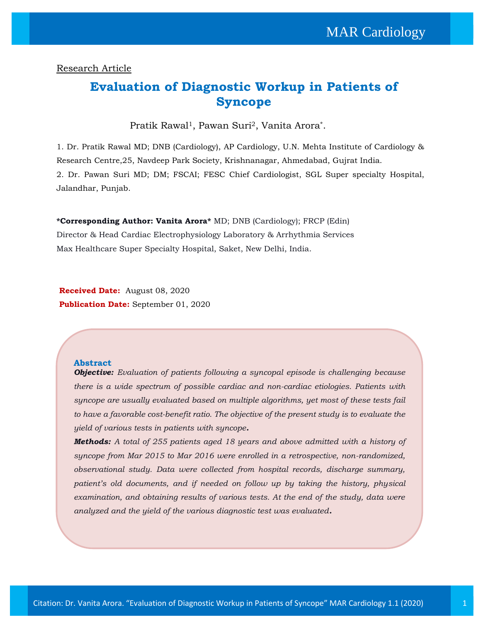### Research Article

### **Evaluation of Diagnostic Workup in Patients of Syncope**

Pratik Rawal1, Pawan Suri2, Vanita Arora\* .

1. Dr. Pratik Rawal MD; DNB (Cardiology), AP Cardiology, U.N. Mehta Institute of Cardiology & Research Centre,25, Navdeep Park Society, Krishnanagar, Ahmedabad, Gujrat India. 2. Dr. Pawan Suri MD; DM; FSCAI; FESC Chief Cardiologist, SGL Super specialty Hospital, Jalandhar, Punjab.

**\*Corresponding Author: Vanita Arora\*** MD; DNB (Cardiology); FRCP (Edin) Director & Head Cardiac Electrophysiology Laboratory & Arrhythmia Services Max Healthcare Super Specialty Hospital, Saket, New Delhi, India.

**Received Date:** August 08, 2020 **Publication Date:** September 01, 2020

### **Abstract**

*Objective: Evaluation of patients following a syncopal episode is challenging because there is a wide spectrum of possible cardiac and non-cardiac etiologies. Patients with syncope are usually evaluated based on multiple algorithms, yet most of these tests fail to have a favorable cost-benefit ratio. The objective of the present study is to evaluate the yield of various tests in patients with syncope.*

*Methods: A total of 255 patients aged 18 years and above admitted with a history of syncope from Mar 2015 to Mar 2016 were enrolled in a retrospective, non-randomized, observational study. Data were collected from hospital records, discharge summary, patient's old documents, and if needed on follow up by taking the history, physical examination, and obtaining results of various tests. At the end of the study, data were analyzed and the yield of the various diagnostic test was evaluated.*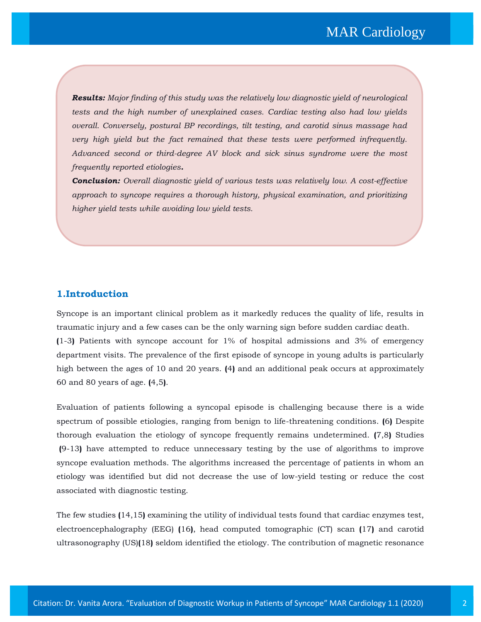*Results: Major finding of this study was the relatively low diagnostic yield of neurological tests and the high number of unexplained cases. Cardiac testing also had low yields overall. Conversely, postural BP recordings, tilt testing, and carotid sinus massage had very high yield but the fact remained that these tests were performed infrequently. Advanced second or third-degree AV block and sick sinus syndrome were the most frequently reported etiologies.*

*Conclusion: Overall diagnostic yield of various tests was relatively low. A cost-effective approach to syncope requires a thorough history, physical examination, and prioritizing higher yield tests while avoiding low yield tests.*

### **1.Introduction**

Syncope is an important clinical problem as it markedly reduces the quality of life, results in traumatic injury and a few cases can be the only warning sign before sudden cardiac death. **(**1-3**)** Patients with syncope account for 1% of hospital admissions and 3% of emergency department visits. The prevalence of the first episode of syncope in young adults is particularly high between the ages of 10 and 20 years. **(**4**)** and an additional peak occurs at approximately 60 and 80 years of age. **(**4,5**)**.

Evaluation of patients following a syncopal episode is challenging because there is a wide spectrum of possible etiologies, ranging from benign to life-threatening conditions. **(**6**)** Despite thorough evaluation the etiology of syncope frequently remains undetermined. **(**7,8**)** Studies **(**9-13**)** have attempted to reduce unnecessary testing by the use of algorithms to improve syncope evaluation methods. The algorithms increased the percentage of patients in whom an etiology was identified but did not decrease the use of low-yield testing or reduce the cost associated with diagnostic testing.

The few studies **(**14,15**)** examining the utility of individual tests found that cardiac enzymes test, electroencephalography (EEG) **(**16**)**, head computed tomographic (CT) scan **(**17**)** and carotid ultrasonography (US)**(**18**)** seldom identified the etiology. The contribution of magnetic resonance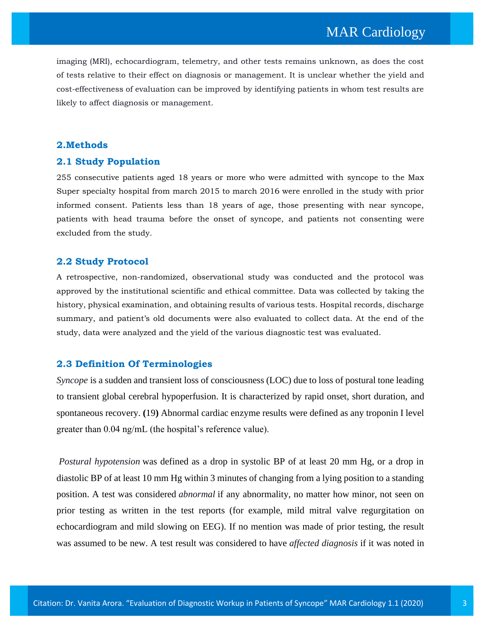imaging (MRI), echocardiogram, telemetry, and other tests remains unknown, as does the cost of tests relative to their effect on diagnosis or management. It is unclear whether the yield and cost-effectiveness of evaluation can be improved by identifying patients in whom test results are likely to affect diagnosis or management.

### **2.Methods**

### **2.1 Study Population**

255 consecutive patients aged 18 years or more who were admitted with syncope to the Max Super specialty hospital from march 2015 to march 2016 were enrolled in the study with prior informed consent. Patients less than 18 years of age, those presenting with near syncope, patients with head trauma before the onset of syncope, and patients not consenting were excluded from the study.

### **2.2 Study Protocol**

A retrospective, non-randomized, observational study was conducted and the protocol was approved by the institutional scientific and ethical committee. Data was collected by taking the history, physical examination, and obtaining results of various tests. Hospital records, discharge summary, and patient's old documents were also evaluated to collect data. At the end of the study, data were analyzed and the yield of the various diagnostic test was evaluated.

### **2.3 Definition Of Terminologies**

*Syncope* is a sudden and transient loss of consciousness (LOC) due to loss of postural tone leading to transient global cerebral hypoperfusion. It is characterized by rapid onset, short duration, and spontaneous recovery. **(**19**)** Abnormal cardiac enzyme results were defined as any troponin I level greater than 0.04 ng/mL (the hospital's reference value).

*Postural hypotension* was defined as a drop in systolic BP of at least 20 mm Hg, or a drop in diastolic BP of at least 10 mm Hg within 3 minutes of changing from a lying position to a standing position. A test was considered *abnormal* if any abnormality, no matter how minor, not seen on prior testing as written in the test reports (for example, mild mitral valve regurgitation on echocardiogram and mild slowing on EEG). If no mention was made of prior testing, the result was assumed to be new. A test result was considered to have *affected diagnosis* if it was noted in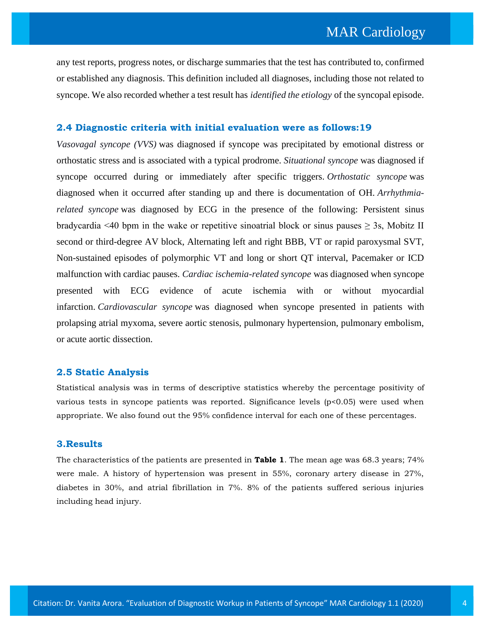any test reports, progress notes, or discharge summaries that the test has contributed to, confirmed or established any diagnosis. This definition included all diagnoses, including those not related to syncope. We also recorded whether a test result has *identified the etiology* of the syncopal episode.

### **2.4 Diagnostic criteria with initial evaluation were as follows:19**

*Vasovagal syncope (VVS)* was diagnosed if syncope was precipitated by emotional distress or orthostatic stress and is associated with a typical prodrome. *Situational syncope* was diagnosed if syncope occurred during or immediately after specific triggers. *Orthostatic syncope* was diagnosed when it occurred after standing up and there is documentation of OH. *Arrhythmiarelated syncope* was diagnosed by ECG in the presence of the following: Persistent sinus bradycardia <40 bpm in the wake or repetitive sinoatrial block or sinus pauses  $\geq$  3s, Mobitz II second or third-degree AV block, Alternating left and right BBB, VT or rapid paroxysmal SVT, Non-sustained episodes of polymorphic VT and long or short QT interval, Pacemaker or ICD malfunction with cardiac pauses. *Cardiac ischemia-related syncope* was diagnosed when syncope presented with ECG evidence of acute ischemia with or without myocardial infarction. *Cardiovascular syncope* was diagnosed when syncope presented in patients with prolapsing atrial myxoma, severe aortic stenosis, pulmonary hypertension, pulmonary embolism, or acute aortic dissection.

### **2.5 Static Analysis**

Statistical analysis was in terms of descriptive statistics whereby the percentage positivity of various tests in syncope patients was reported. Significance levels (p<0.05) were used when appropriate. We also found out the 95% confidence interval for each one of these percentages.

#### **3.Results**

The characteristics of the patients are presented in **Table 1**. The mean age was 68.3 years; 74% were male. A history of hypertension was present in 55%, coronary artery disease in 27%, diabetes in 30%, and atrial fibrillation in 7%. 8% of the patients suffered serious injuries including head injury.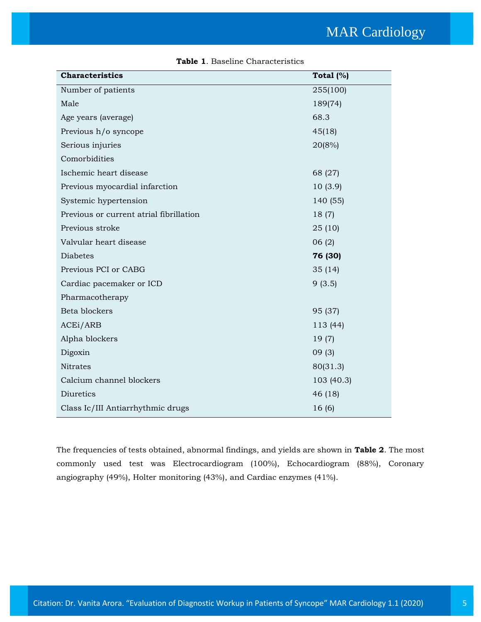| <b>Characteristics</b>                  | Total $(%)$ |
|-----------------------------------------|-------------|
| Number of patients                      | 255(100)    |
| Male                                    | 189(74)     |
| Age years (average)                     | 68.3        |
| Previous h/o syncope                    | 45(18)      |
| Serious injuries                        | 20(8%)      |
| Comorbidities                           |             |
| Ischemic heart disease                  | 68 (27)     |
| Previous myocardial infarction          | 10(3.9)     |
| Systemic hypertension                   | 140 (55)    |
| Previous or current atrial fibrillation | 18 (7)      |
| Previous stroke                         | 25(10)      |
| Valvular heart disease                  | 06(2)       |
| <b>Diabetes</b>                         | 76 (30)     |
| Previous PCI or CABG                    | 35(14)      |
| Cardiac pacemaker or ICD                | 9(3.5)      |
| Pharmacotherapy                         |             |
| Beta blockers                           | 95 (37)     |
| ACEi/ARB                                | 113 (44)    |
| Alpha blockers                          | 19(7)       |
| Digoxin                                 | 09(3)       |
| Nitrates                                | 80(31.3)    |
| Calcium channel blockers                | 103 (40.3)  |
| Diuretics                               | 46 (18)     |
| Class Ic/III Antiarrhythmic drugs       | 16(6)       |

### **Table 1**. Baseline Characteristics

The frequencies of tests obtained, abnormal findings, and yields are shown in **Table 2**. The most commonly used test was Electrocardiogram (100%), Echocardiogram (88%), Coronary angiography (49%), Holter monitoring (43%), and Cardiac enzymes (41%).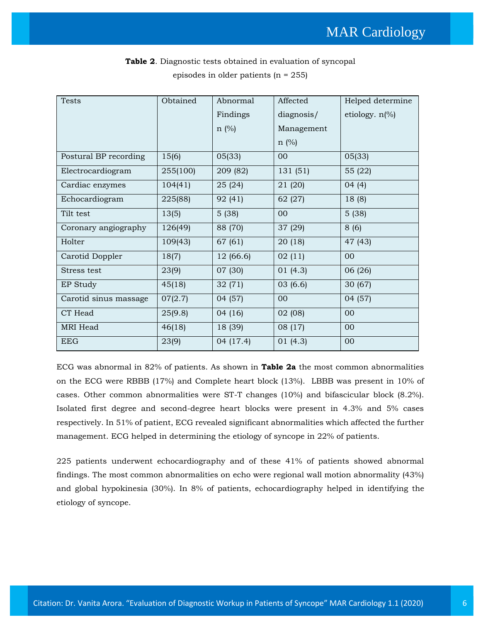| Tests                 | Obtained | Abnormal  | Affected   | Helped determine         |
|-----------------------|----------|-----------|------------|--------------------------|
|                       |          | Findings  | diagnosis/ | etiology. $n\frac{0}{0}$ |
|                       |          | $n$ (%)   | Management |                          |
|                       |          |           | $n \ (\%)$ |                          |
| Postural BP recording | 15(6)    | 05(33)    | 00         | 05(33)                   |
| Electrocardiogram     | 255(100) | 209 (82)  | 131 (51)   | 55 (22)                  |
| Cardiac enzymes       | 104(41)  | 25 (24)   | 21 (20)    | 04(4)                    |
| Echocardiogram        | 225(88)  | 92 (41)   | 62 (27)    | 18 (8)                   |
| Tilt test             | 13(5)    | 5(38)     | 00         | 5(38)                    |
| Coronary angiography  | 126(49)  | 88 (70)   | 37 (29)    | 8(6)                     |
| Holter                | 109(43)  | 67 (61)   | 20 (18)    | 47 (43)                  |
| Carotid Doppler       | 18(7)    | 12 (66.6) | 02(11)     | $00\,$                   |
| Stress test           | 23(9)    | 07 (30)   | 01(4.3)    | 06 (26)                  |
| EP Study              | 45(18)   | 32 (71)   | 03(6.6)    | 30(67)                   |
| Carotid sinus massage | 07(2.7)  | 04 (57)   | 00         | 04 (57)                  |
| CT Head               | 25(9.8)  | 04 (16)   | 02 (08)    | 00                       |
| MRI Head              | 46(18)   | 18 (39)   | 08 (17)    | 00                       |
| <b>EEG</b>            | 23(9)    | 04 (17.4) | 01(4.3)    | $00\,$                   |

**Table 2**. Diagnostic tests obtained in evaluation of syncopal episodes in older patients (n = 255)

ECG was abnormal in 82% of patients. As shown in **Table 2a** the most common abnormalities on the ECG were RBBB (17%) and Complete heart block (13%). LBBB was present in 10% of cases. Other common abnormalities were ST-T changes (10%) and bifascicular block (8.2%). Isolated first degree and second-degree heart blocks were present in 4.3% and 5% cases respectively. In 51% of patient, ECG revealed significant abnormalities which affected the further management. ECG helped in determining the etiology of syncope in 22% of patients.

225 patients underwent echocardiography and of these 41% of patients showed abnormal findings. The most common abnormalities on echo were regional wall motion abnormality (43%) and global hypokinesia (30%). In 8% of patients, echocardiography helped in identifying the etiology of syncope.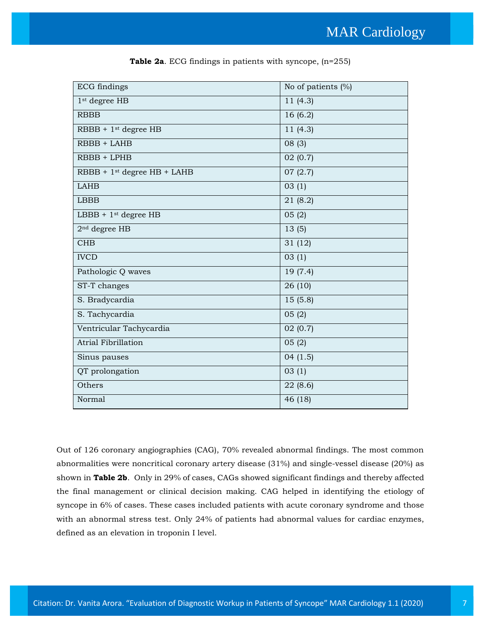| <b>ECG</b> findings                     | No of patients $(\% )$ |
|-----------------------------------------|------------------------|
| 1 <sup>st</sup> degree HB               | 11(4.3)                |
| <b>RBBB</b>                             | 16(6.2)                |
| $RBBB + 1st degree HB$                  | 11(4.3)                |
| RBBB + LAHB                             | 08(3)                  |
| RBBB + LPHB                             | 02(0.7)                |
| RBBB + 1 <sup>st</sup> degree HB + LAHB | 07(2.7)                |
| <b>LAHB</b>                             | 03(1)                  |
| <b>LBBB</b>                             | 21 (8.2)               |
| $LBBB + 1st$ degree HB                  | 05(2)                  |
| $2nd$ degree HB                         | 13(5)                  |
| <b>CHB</b>                              | 31 (12)                |
| <b>IVCD</b>                             | 03(1)                  |
| Pathologic Q waves                      | 19 (7.4)               |
| ST-T changes                            | 26(10)                 |
| S. Bradycardia                          | 15(5.8)                |
| S. Tachycardia                          | 05(2)                  |
| Ventricular Tachycardia                 | 02(0.7)                |
| <b>Atrial Fibrillation</b>              | 05(2)                  |
| Sinus pauses                            | 04(1.5)                |
| QT prolongation                         | 03(1)                  |
| Others                                  | 22(8.6)                |
| Normal                                  | 46 (18)                |

**Table 2a**. ECG findings in patients with syncope, (n=255)

Out of 126 coronary angiographies (CAG), 70% revealed abnormal findings. The most common abnormalities were noncritical coronary artery disease (31%) and single-vessel disease (20%) as shown in **Table 2b**. Only in 29% of cases, CAGs showed significant findings and thereby affected the final management or clinical decision making. CAG helped in identifying the etiology of syncope in 6% of cases. These cases included patients with acute coronary syndrome and those with an abnormal stress test. Only 24% of patients had abnormal values for cardiac enzymes, defined as an elevation in troponin I level.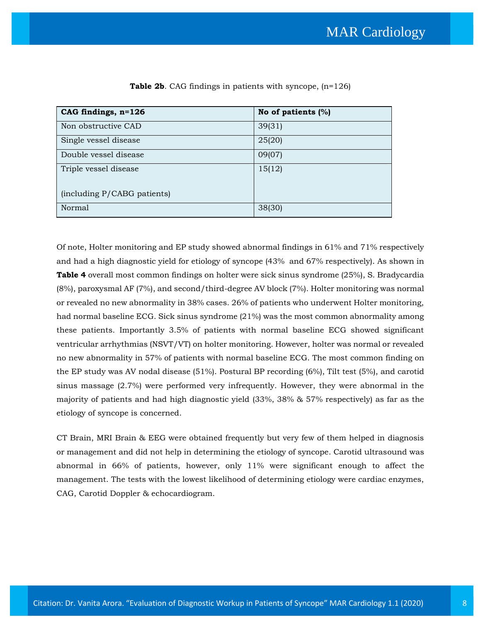| $CAG$ findings, $n=126$     | No of patients $(\%)$ |
|-----------------------------|-----------------------|
| Non obstructive CAD         | 39(31)                |
| Single vessel disease       | 25(20)                |
| Double vessel disease       | 09(07)                |
| Triple vessel disease       | 15(12)                |
| (including P/CABG patients) |                       |
| <b>Normal</b>               | 38(30)                |

|  | <b>Table 2b.</b> CAG findings in patients with syncope, $(n=126)$ |  |  |  |
|--|-------------------------------------------------------------------|--|--|--|
|--|-------------------------------------------------------------------|--|--|--|

Of note, Holter monitoring and EP study showed abnormal findings in 61% and 71% respectively and had a high diagnostic yield for etiology of syncope (43% and 67% respectively). As shown in **Table 4** overall most common findings on holter were sick sinus syndrome (25%), S. Bradycardia (8%), paroxysmal AF (7%), and second/third-degree AV block (7%). Holter monitoring was normal or revealed no new abnormality in 38% cases. 26% of patients who underwent Holter monitoring, had normal baseline ECG. Sick sinus syndrome (21%) was the most common abnormality among these patients. Importantly 3.5% of patients with normal baseline ECG showed significant ventricular arrhythmias (NSVT/VT) on holter monitoring. However, holter was normal or revealed no new abnormality in 57% of patients with normal baseline ECG. The most common finding on the EP study was AV nodal disease (51%). Postural BP recording (6%), Tilt test (5%), and carotid sinus massage (2.7%) were performed very infrequently. However, they were abnormal in the majority of patients and had high diagnostic yield (33%, 38% & 57% respectively) as far as the etiology of syncope is concerned.

CT Brain, MRI Brain & EEG were obtained frequently but very few of them helped in diagnosis or management and did not help in determining the etiology of syncope. Carotid ultrasound was abnormal in 66% of patients, however, only 11% were significant enough to affect the management. The tests with the lowest likelihood of determining etiology were cardiac enzymes, CAG, Carotid Doppler & echocardiogram.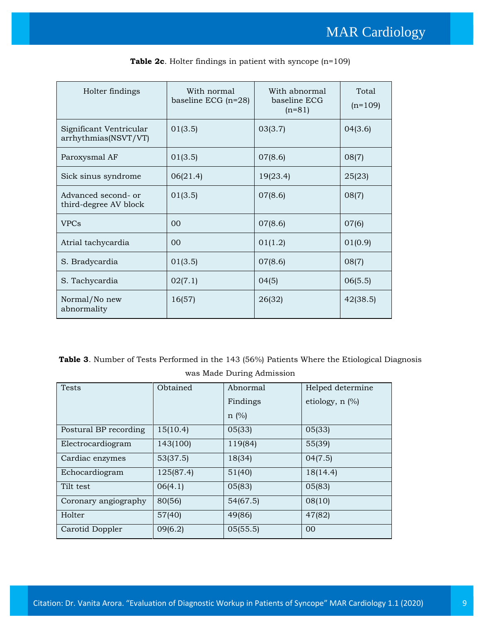| Holter findings                                 | With normal<br>baseline ECG $(n=28)$ | With abnormal<br>baseline ECG<br>$(n=81)$ | Total<br>$(n=109)$ |
|-------------------------------------------------|--------------------------------------|-------------------------------------------|--------------------|
| Significant Ventricular<br>arrhythmias(NSVT/VT) | 01(3.5)                              | 03(3.7)                                   | 04(3.6)            |
| Paroxysmal AF                                   | 01(3.5)                              | 07(8.6)                                   | 08(7)              |
| Sick sinus syndrome                             | 06(21.4)                             | 19(23.4)                                  | 25(23)             |
| Advanced second- or<br>third-degree AV block    | 01(3.5)                              | 07(8.6)                                   | 08(7)              |
| <b>VPCs</b>                                     | 0 <sub>0</sub>                       | 07(8.6)                                   | 07(6)              |
| Atrial tachycardia                              | 0 <sub>0</sub>                       | 01(1.2)                                   | 01(0.9)            |
| S. Bradycardia                                  | 01(3.5)                              | 07(8.6)                                   | 08(7)              |
| S. Tachycardia                                  | 02(7.1)                              | 04(5)                                     | 06(5.5)            |
| Normal/No new<br>abnormality                    | 16(57)                               | 26(32)                                    | 42(38.5)           |

|  |  |  |  |  |  |  | <b>Table 2c.</b> Holter findings in patient with syncope $(n=109)$ |  |  |
|--|--|--|--|--|--|--|--------------------------------------------------------------------|--|--|
|--|--|--|--|--|--|--|--------------------------------------------------------------------|--|--|

**Table 3**. Number of Tests Performed in the 143 (56%) Patients Where the Etiological Diagnosis was Made During Admission

| <b>Tests</b>          | Obtained  | Abnormal   | Helped determine  |
|-----------------------|-----------|------------|-------------------|
|                       |           | Findings   | etiology, $n$ $%$ |
|                       |           | $n \ (\%)$ |                   |
| Postural BP recording | 15(10.4)  | 05(33)     | 05(33)            |
| Electrocardiogram     | 143(100)  | 119(84)    | 55(39)            |
| Cardiac enzymes       | 53(37.5)  | 18(34)     | 04(7.5)           |
| Echocardiogram        | 125(87.4) | 51(40)     | 18(14.4)          |
| Tilt test             | 06(4.1)   | 05(83)     | 05(83)            |
| Coronary angiography  | 80(56)    | 54(67.5)   | 08(10)            |
| Holter                | 57(40)    | 49(86)     | 47(82)            |
| Carotid Doppler       | 09(6.2)   | 05(55.5)   | 00                |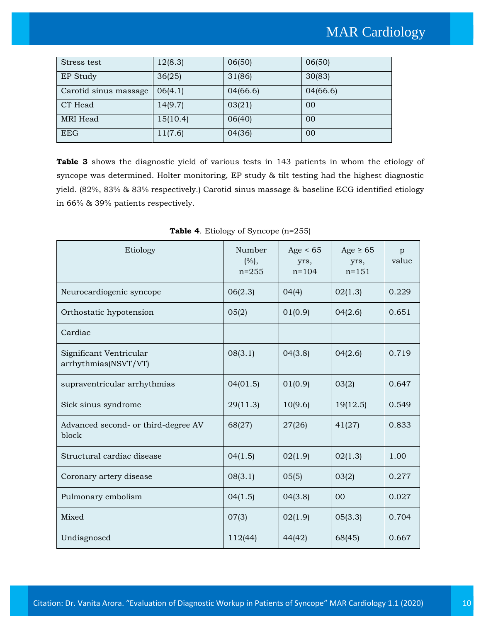| Stress test           | 12(8.3)  | 06(50)   | 06(50)   |
|-----------------------|----------|----------|----------|
| EP Study              | 36(25)   | 31(86)   | 30(83)   |
| Carotid sinus massage | 06(4.1)  | 04(66.6) | 04(66.6) |
| CT Head               | 14(9.7)  | 03(21)   | 00       |
| MRI Head              | 15(10.4) | 06(40)   | 00       |
| <b>EEG</b>            | 11(7.6)  | 04(36)   | 00       |

**Table 3** shows the diagnostic yield of various tests in 143 patients in whom the etiology of syncope was determined. Holter monitoring, EP study & tilt testing had the highest diagnostic yield. (82%, 83% & 83% respectively.) Carotid sinus massage & baseline ECG identified etiology in 66% & 39% patients respectively.

| Etiology                                        | Number<br>(%),<br>$n = 255$ | Age $< 65$<br>yrs,<br>$n = 104$ | Age $\geq 65$<br>yrs,<br>$n = 151$ | p<br>value |
|-------------------------------------------------|-----------------------------|---------------------------------|------------------------------------|------------|
| Neurocardiogenic syncope                        | 06(2.3)                     | 04(4)                           | 02(1.3)                            | 0.229      |
| Orthostatic hypotension                         | 05(2)                       | 01(0.9)                         | 04(2.6)                            | 0.651      |
| Cardiac                                         |                             |                                 |                                    |            |
| Significant Ventricular<br>arrhythmias(NSVT/VT) | 08(3.1)                     | 04(3.8)                         | 04(2.6)                            | 0.719      |
| supraventricular arrhythmias                    | 04(01.5)                    | 01(0.9)                         | 03(2)                              | 0.647      |
| Sick sinus syndrome                             | 29(11.3)                    | 10(9.6)                         | 19(12.5)                           | 0.549      |
| Advanced second- or third-degree AV<br>block    | 68(27)                      | 27(26)                          | 41(27)                             | 0.833      |
| Structural cardiac disease                      | 04(1.5)                     | 02(1.9)                         | 02(1.3)                            | 1.00       |
| Coronary artery disease                         | 08(3.1)                     | 05(5)                           | 03(2)                              | 0.277      |
| Pulmonary embolism                              | 04(1.5)                     | 04(3.8)                         | 00                                 | 0.027      |
| Mixed                                           | 07(3)                       | 02(1.9)                         | 05(3.3)                            | 0.704      |
| Undiagnosed                                     | 112(44)                     | 44(42)                          | 68(45)                             | 0.667      |

**Table 4**. Etiology of Syncope (n=255)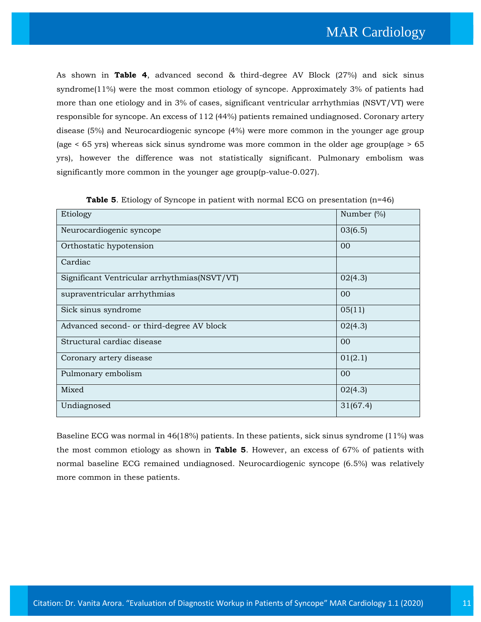As shown in **Table 4**, advanced second & third-degree AV Block (27%) and sick sinus syndrome(11%) were the most common etiology of syncope. Approximately 3% of patients had more than one etiology and in 3% of cases, significant ventricular arrhythmias (NSVT/VT) were responsible for syncope. An excess of 112 (44%) patients remained undiagnosed. Coronary artery disease (5%) and Neurocardiogenic syncope (4%) were more common in the younger age group (age < 65 yrs) whereas sick sinus syndrome was more common in the older age group(age > 65 yrs), however the difference was not statistically significant. Pulmonary embolism was significantly more common in the younger age group(p-value-0.027).

| Etiology                                     | Number $(\%)$ |
|----------------------------------------------|---------------|
| Neurocardiogenic syncope                     | 03(6.5)       |
| Orthostatic hypotension                      | 00            |
| Cardiac                                      |               |
| Significant Ventricular arrhythmias(NSVT/VT) | 02(4.3)       |
| supraventricular arrhythmias                 | 00            |
| Sick sinus syndrome                          | 05(11)        |
| Advanced second- or third-degree AV block    | 02(4.3)       |
| Structural cardiac disease                   | 00            |
| Coronary artery disease                      | 01(2.1)       |
| Pulmonary embolism                           | 00            |
| Mixed                                        | 02(4.3)       |
| Undiagnosed                                  | 31(67.4)      |

**Table 5**. Etiology of Syncope in patient with normal ECG on presentation (n=46)

Baseline ECG was normal in 46(18%) patients. In these patients, sick sinus syndrome (11%) was the most common etiology as shown in **Table 5**. However, an excess of 67% of patients with normal baseline ECG remained undiagnosed. Neurocardiogenic syncope (6.5%) was relatively more common in these patients.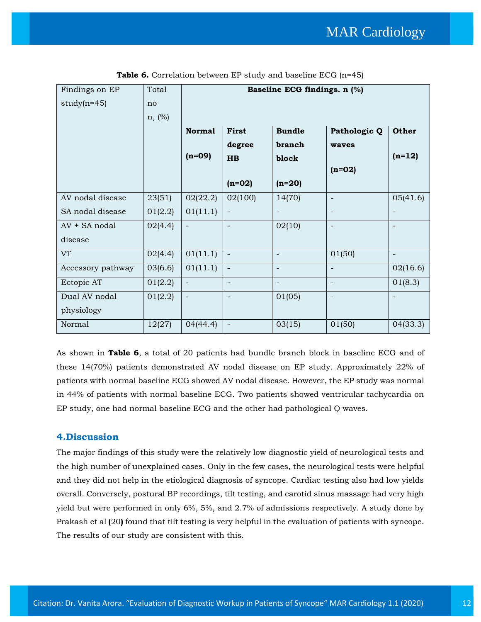| Findings on EP    | Total     |                          |                          | Baseline ECG findings. n (%) |                          |                          |
|-------------------|-----------|--------------------------|--------------------------|------------------------------|--------------------------|--------------------------|
| $study(n=45)$     | no        |                          |                          |                              |                          |                          |
|                   | $n, (\%)$ |                          |                          |                              |                          |                          |
|                   |           | <b>Normal</b>            | <b>First</b>             | <b>Bundle</b>                | Pathologic Q             | Other                    |
|                   |           |                          | degree                   | branch                       | waves                    |                          |
|                   |           | $(n=09)$                 | <b>HB</b>                | block                        |                          | $(n=12)$                 |
|                   |           |                          |                          |                              | $(n=02)$                 |                          |
|                   |           |                          | $(n=02)$                 | $(n=20)$                     |                          |                          |
| AV nodal disease  | 23(51)    | 02(22.2)                 | 02(100)                  | 14(70)                       |                          | 05(41.6)                 |
| SA nodal disease  | 01(2.2)   | 01(11.1)                 | $\overline{\phantom{a}}$ | $\overline{\phantom{a}}$     | -                        |                          |
| AV + SA nodal     | 02(4.4)   | $\overline{\phantom{a}}$ | $\overline{\phantom{a}}$ | 02(10)                       | $\overline{\phantom{a}}$ | $\overline{\phantom{a}}$ |
| disease           |           |                          |                          |                              |                          |                          |
| <b>VT</b>         | 02(4.4)   | 01(11.1)                 | $\blacksquare$           | $\overline{\phantom{a}}$     | 01(50)                   |                          |
| Accessory pathway | 03(6.6)   | 01(11.1)                 | $\overline{\phantom{a}}$ | $\overline{\phantom{a}}$     |                          | 02(16.6)                 |
| Ectopic AT        | 01(2.2)   | $\overline{\phantom{a}}$ | $\overline{\phantom{a}}$ | $\overline{\phantom{a}}$     | $\overline{\phantom{0}}$ | 01(8.3)                  |
| Dual AV nodal     | 01(2.2)   | $\overline{\phantom{a}}$ | $\overline{\phantom{a}}$ | 01(05)                       | $\qquad \qquad -$        |                          |
| physiology        |           |                          |                          |                              |                          |                          |
| Normal            | 12(27)    | 04(44.4)                 | $\overline{\phantom{a}}$ | 03(15)                       | 01(50)                   | 04(33.3)                 |

**Table 6.** Correlation between EP study and baseline ECG (n=45)

As shown in **Table 6**, a total of 20 patients had bundle branch block in baseline ECG and of these 14(70%) patients demonstrated AV nodal disease on EP study. Approximately 22% of patients with normal baseline ECG showed AV nodal disease. However, the EP study was normal in 44% of patients with normal baseline ECG. Two patients showed ventricular tachycardia on EP study, one had normal baseline ECG and the other had pathological Q waves.

### **4.Discussion**

The major findings of this study were the relatively low diagnostic yield of neurological tests and the high number of unexplained cases. Only in the few cases, the neurological tests were helpful and they did not help in the etiological diagnosis of syncope. Cardiac testing also had low yields overall. Conversely, postural BP recordings, tilt testing, and carotid sinus massage had very high yield but were performed in only 6%, 5%, and 2.7% of admissions respectively. A study done by Prakash et al **(**20**)** found that tilt testing is very helpful in the evaluation of patients with syncope. The results of our study are consistent with this.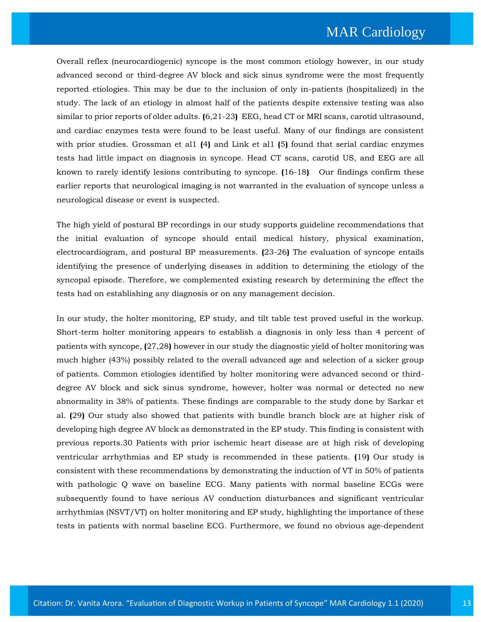Overall reflex (neurocardiogenic) syncope is the most common etiology however, in our study advanced second or third-degree AV block and sick sinus syndrome were the most frequently reported etiologies. This may be due to the inclusion of only in-patients (hospitalized) in the study. The lack of an etiology in almost half of the patients despite extensive testing was also similar to prior reports of older adults. **(**6,21-23**)** EEG, head CT or MRI scans, carotid ultrasound, and cardiac enzymes tests were found to be least useful. Many of our findings are consistent with prior studies. Grossman et al1 **(**4**)** and Link et al1 **(**5**)** found that serial cardiac enzymes tests had little impact on diagnosis in syncope. Head CT scans, carotid US, and EEG are all known to rarely identify lesions contributing to syncope. **(**16-18**)** Our findings confirm these earlier reports that neurological imaging is not warranted in the evaluation of syncope unless a neurological disease or event is suspected.

The high yield of postural BP recordings in our study supports guideline recommendations that the initial evaluation of syncope should entail medical history, physical examination, electrocardiogram, and postural BP measurements. **(**23-26**)** The evaluation of syncope entails identifying the presence of underlying diseases in addition to determining the etiology of the syncopal episode. Therefore, we complemented existing research by determining the effect the tests had on establishing any diagnosis or on any management decision.

In our study, the holter monitoring, EP study, and tilt table test proved useful in the workup. Short-term holter monitoring appears to establish a diagnosis in only less than 4 percent of patients with syncope, **(**27,28**)** however in our study the diagnostic yield of holter monitoring was much higher (43%) possibly related to the overall advanced age and selection of a sicker group of patients. Common etiologies identified by holter monitoring were advanced second or thirddegree AV block and sick sinus syndrome, however, holter was normal or detected no new abnormality in 38% of patients. These findings are comparable to the study done by Sarkar et al. **(**29**)** Our study also showed that patients with bundle branch block are at higher risk of developing high degree AV block as demonstrated in the EP study. This finding is consistent with previous reports.30 Patients with prior ischemic heart disease are at high risk of developing ventricular arrhythmias and EP study is recommended in these patients. **(**19**)** Our study is consistent with these recommendations by demonstrating the induction of VT in 50% of patients with pathologic Q wave on baseline ECG. Many patients with normal baseline ECGs were subsequently found to have serious AV conduction disturbances and significant ventricular arrhythmias (NSVT/VT) on holter monitoring and EP study, highlighting the importance of these tests in patients with normal baseline ECG. Furthermore, we found no obvious age-dependent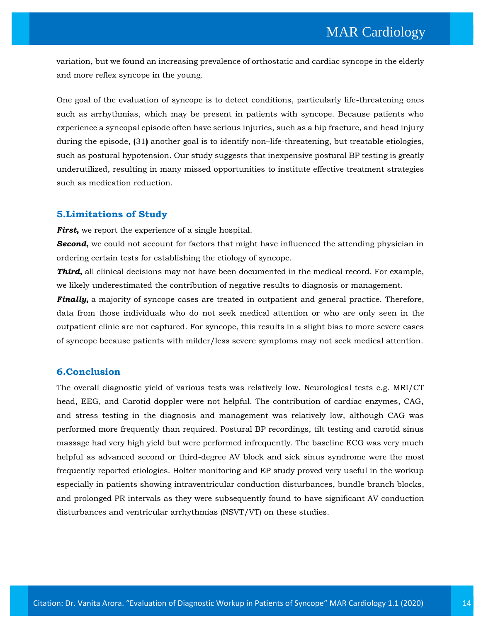variation, but we found an increasing prevalence of orthostatic and cardiac syncope in the elderly and more reflex syncope in the young.

One goal of the evaluation of syncope is to detect conditions, particularly life-threatening ones such as arrhythmias, which may be present in patients with syncope. Because patients who experience a syncopal episode often have serious injuries, such as a hip fracture, and head injury during the episode, **(**31**)** another goal is to identify non–life-threatening, but treatable etiologies, such as postural hypotension. Our study suggests that inexpensive postural BP testing is greatly underutilized, resulting in many missed opportunities to institute effective treatment strategies such as medication reduction.

### **5.Limitations of Study**

*First*, we report the experience of a single hospital.

**Second**, we could not account for factors that might have influenced the attending physician in ordering certain tests for establishing the etiology of syncope.

*Third***,** all clinical decisions may not have been documented in the medical record. For example, we likely underestimated the contribution of negative results to diagnosis or management.

*Finally***,** a majority of syncope cases are treated in outpatient and general practice. Therefore, data from those individuals who do not seek medical attention or who are only seen in the outpatient clinic are not captured. For syncope, this results in a slight bias to more severe cases of syncope because patients with milder/less severe symptoms may not seek medical attention.

### **6.Conclusion**

The overall diagnostic yield of various tests was relatively low. Neurological tests e.g. MRI/CT head, EEG, and Carotid doppler were not helpful. The contribution of cardiac enzymes, CAG, and stress testing in the diagnosis and management was relatively low, although CAG was performed more frequently than required. Postural BP recordings, tilt testing and carotid sinus massage had very high yield but were performed infrequently. The baseline ECG was very much helpful as advanced second or third-degree AV block and sick sinus syndrome were the most frequently reported etiologies. Holter monitoring and EP study proved very useful in the workup especially in patients showing intraventricular conduction disturbances, bundle branch blocks, and prolonged PR intervals as they were subsequently found to have significant AV conduction disturbances and ventricular arrhythmias (NSVT/VT) on these studies.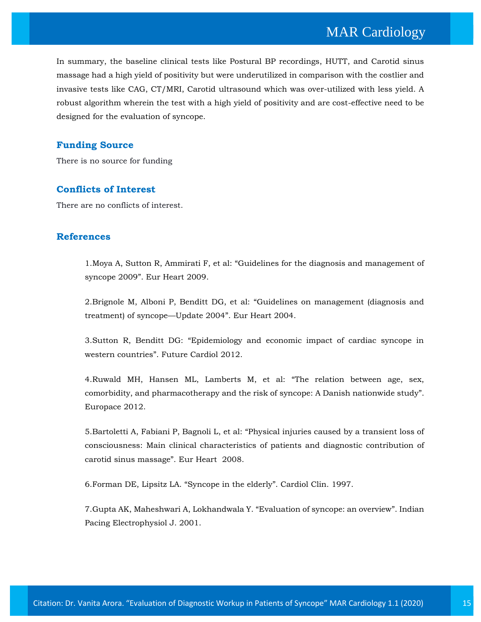In summary, the baseline clinical tests like Postural BP recordings, HUTT, and Carotid sinus massage had a high yield of positivity but were underutilized in comparison with the costlier and invasive tests like CAG, CT/MRI, Carotid ultrasound which was over-utilized with less yield. A robust algorithm wherein the test with a high yield of positivity and are cost-effective need to be designed for the evaluation of syncope.

### **Funding Source**

There is no source for funding

### **Conflicts of Interest**

There are no conflicts of interest.

### **References**

1.Moya A, Sutton R, Ammirati F, et al: "[Guidelines for the diagnosis and management of](https://www.google.com/search?sxsrf=ALeKk02IdSBeP0POCce_vf6joqD0wGMpFA%3A1597662481747&ei=EWU6X6CRLdXH4-EPzPGriAc&q=Guidelines+for+the+diagnosis+and+management+of+syncope+2009&oq=Guidelines+for+the+diagnosis+and+management+of+syncope+2009&gs_lcp=CgZwc3ktYWIQAzIGCAAQFhAeMgYIABAWEB46BwgjEOoCECdQ7-EDWO_hA2Df6gNoAXAAeACAAasBiAGrAZIBAzAuMZgBAKABAaABAqoBB2d3cy13aXqwAQrAAQE&sclient=psy-ab&ved=0ahUKEwjg3cfFjKLrAhXV4zgGHcz4CnEQ4dUDCAw&uact=5)  syncope 2009"[. Eur Heart 2009.](https://www.google.com/search?sxsrf=ALeKk02IdSBeP0POCce_vf6joqD0wGMpFA%3A1597662481747&ei=EWU6X6CRLdXH4-EPzPGriAc&q=Guidelines+for+the+diagnosis+and+management+of+syncope+2009&oq=Guidelines+for+the+diagnosis+and+management+of+syncope+2009&gs_lcp=CgZwc3ktYWIQAzIGCAAQFhAeMgYIABAWEB46BwgjEOoCECdQ7-EDWO_hA2Df6gNoAXAAeACAAasBiAGrAZIBAzAuMZgBAKABAaABAqoBB2d3cy13aXqwAQrAAQE&sclient=psy-ab&ved=0ahUKEwjg3cfFjKLrAhXV4zgGHcz4CnEQ4dUDCAw&uact=5)

2.Brignole M, Alboni P, Benditt DG, et al: "[Guidelines on management \(diagnosis and](https://www.google.com/search?sxsrf=ALeKk00jWi8e_wBqZRyh-hzSIWFnFNqPjA%3A1597662439669&ei=52Q6X5zDKPed4-EPit-AgAw&q=Guidelines+on+management+%28diagnosis+and+treatment%29+of+syncope%E2%80%94Update+2004&oq=Guidelines+on+management+%28diagnosis+and+treatment%29+of+syncope%E2%80%94Update+2004&gs_lcp=CgZwc3ktYWIQAzoHCCMQ6gIQJ1C7twJYu7cCYIi_AmgBcAB4AIAB4AGIAeABkgEDMi0xmAEAoAEBoAECqgEHZ3dzLXdperABCsABAQ&sclient=psy-ab&ved=0ahUKEwjc0r-xjKLrAhX3zjgGHYovAMAQ4dUDCAw&uact=5)  [treatment\) of syncope](https://www.google.com/search?sxsrf=ALeKk00jWi8e_wBqZRyh-hzSIWFnFNqPjA%3A1597662439669&ei=52Q6X5zDKPed4-EPit-AgAw&q=Guidelines+on+management+%28diagnosis+and+treatment%29+of+syncope%E2%80%94Update+2004&oq=Guidelines+on+management+%28diagnosis+and+treatment%29+of+syncope%E2%80%94Update+2004&gs_lcp=CgZwc3ktYWIQAzoHCCMQ6gIQJ1C7twJYu7cCYIi_AmgBcAB4AIAB4AGIAeABkgEDMi0xmAEAoAEBoAECqgEHZ3dzLXdperABCsABAQ&sclient=psy-ab&ved=0ahUKEwjc0r-xjKLrAhX3zjgGHYovAMAQ4dUDCAw&uact=5)—Update 2004". Eur Heart 2004.

3.Sutton R, Benditt DG: "[Epidemiology and economic impact of cardiac syncope in](https://www.google.com/search?sxsrf=ALeKk02mLUCB1KG03UI4ToMRD0LsAwxqBg%3A1597662392722&ei=uGQ6X93UK_mf4-EP25eloAY&q=Epidemiology+and+economic+impact+of+cardiac+syncope+in+western+countries&oq=Epidemiology+and+economic+impact+of+cardiac+syncope+in+western+countries&gs_lcp=CgZwc3ktYWIQAzoHCCMQ6gIQJ1DG3wJYxt8CYJLoAmgBcAB4AIABxAGIAcQBkgEDMC4xmAEAoAEBoAECqgEHZ3dzLXdperABCsABAQ&sclient=psy-ab&ved=0ahUKEwjdkI6bjKLrAhX5zzgGHdtLCWQQ4dUDCAw&uact=5)  [western countries](https://www.google.com/search?sxsrf=ALeKk02mLUCB1KG03UI4ToMRD0LsAwxqBg%3A1597662392722&ei=uGQ6X93UK_mf4-EP25eloAY&q=Epidemiology+and+economic+impact+of+cardiac+syncope+in+western+countries&oq=Epidemiology+and+economic+impact+of+cardiac+syncope+in+western+countries&gs_lcp=CgZwc3ktYWIQAzoHCCMQ6gIQJ1DG3wJYxt8CYJLoAmgBcAB4AIABxAGIAcQBkgEDMC4xmAEAoAEBoAECqgEHZ3dzLXdperABCsABAQ&sclient=psy-ab&ved=0ahUKEwjdkI6bjKLrAhX5zzgGHdtLCWQQ4dUDCAw&uact=5)". Future Cardiol 2012.

4[.Ruwald MH, Hansen ML, Lamberts M, et al:](https://www.google.com/search?sxsrf=ALeKk02yFHqFBKt6981WHJLKoEDXuwLdhw%3A1597662348725&ei=jGQ6X9P2K-uZ4-EPs6WwwAM&q=The+relation+between+age%2C+sex%2C+comorbidity%2C+and+pharmacotherapy+and+the+risk+of+syncope%3A+A+Danish+nationwide+study&oq=The+relation+between+age%2C+sex%2C+comorbidity%2C+and+pharmacotherapy+and+the+risk+of+syncope%3A+A+Danish+nationwide+study&gs_lcp=CgZwc3ktYWIQAzIHCCMQ6gIQJzIHCCMQ6gIQJzIHCCMQ6gIQJzIHCCMQ6gIQJzIHCCMQ6gIQJzIHCCMQ6gIQJzIHCCMQ6gIQJzIHCCMQ6gIQJzIHCCMQ6gIQJzIHCCMQ6gIQJ1DwyQJY8MkCYKLPAmgBcAB4AIABAIgBAJIBAJgBAKABAaABAqoBB2d3cy13aXqwAQrAAQE&sclient=psy-ab&ved=0ahUKEwjT7JCGjKLrAhXrzDgGHbMSDDgQ4dUDCAw&uact=5) "The relation between age, sex, [comorbidity, and pharmacotherapy and the risk of syncope: A Danish nationwide study](https://www.google.com/search?sxsrf=ALeKk02yFHqFBKt6981WHJLKoEDXuwLdhw%3A1597662348725&ei=jGQ6X9P2K-uZ4-EPs6WwwAM&q=The+relation+between+age%2C+sex%2C+comorbidity%2C+and+pharmacotherapy+and+the+risk+of+syncope%3A+A+Danish+nationwide+study&oq=The+relation+between+age%2C+sex%2C+comorbidity%2C+and+pharmacotherapy+and+the+risk+of+syncope%3A+A+Danish+nationwide+study&gs_lcp=CgZwc3ktYWIQAzIHCCMQ6gIQJzIHCCMQ6gIQJzIHCCMQ6gIQJzIHCCMQ6gIQJzIHCCMQ6gIQJzIHCCMQ6gIQJzIHCCMQ6gIQJzIHCCMQ6gIQJzIHCCMQ6gIQJzIHCCMQ6gIQJ1DwyQJY8MkCYKLPAmgBcAB4AIABAIgBAJIBAJgBAKABAaABAqoBB2d3cy13aXqwAQrAAQE&sclient=psy-ab&ved=0ahUKEwjT7JCGjKLrAhXrzDgGHbMSDDgQ4dUDCAw&uact=5)". [Europace 2012.](https://www.google.com/search?sxsrf=ALeKk02yFHqFBKt6981WHJLKoEDXuwLdhw%3A1597662348725&ei=jGQ6X9P2K-uZ4-EPs6WwwAM&q=The+relation+between+age%2C+sex%2C+comorbidity%2C+and+pharmacotherapy+and+the+risk+of+syncope%3A+A+Danish+nationwide+study&oq=The+relation+between+age%2C+sex%2C+comorbidity%2C+and+pharmacotherapy+and+the+risk+of+syncope%3A+A+Danish+nationwide+study&gs_lcp=CgZwc3ktYWIQAzIHCCMQ6gIQJzIHCCMQ6gIQJzIHCCMQ6gIQJzIHCCMQ6gIQJzIHCCMQ6gIQJzIHCCMQ6gIQJzIHCCMQ6gIQJzIHCCMQ6gIQJzIHCCMQ6gIQJzIHCCMQ6gIQJ1DwyQJY8MkCYKLPAmgBcAB4AIABAIgBAJIBAJgBAKABAaABAqoBB2d3cy13aXqwAQrAAQE&sclient=psy-ab&ved=0ahUKEwjT7JCGjKLrAhXrzDgGHbMSDDgQ4dUDCAw&uact=5)

5.Bartoletti A, Fabiani P, Bagnoli L, et al: "[Physical injuries caused by a transient loss of](https://www.google.com/search?sxsrf=ALeKk01vhuxdH_li1u_hvSP9hiHQZqNvpg%3A1597662324385&ei=dGQ6X86QF7yf4-EPuuuj4AE&q=Physical+injuries+caused+by+a+transient+loss+of+consciousness%3A+Main+clinical+characteristics+of+patients+and+diagnostic+contribution+of+carotid+sinus+massage&oq=Physical+injuries+caused+by+a+transient+loss+of+consciousness%3A+Main+clinical+characteristics+of+patients+and+diagnostic+contribution+of+carotid+sinus+massage&gs_lcp=CgZwc3ktYWIQA1DprwFY6a8BYKW3AWgAcAB4AIABAIgBAJIBAJgBAKABAqABAaoBB2d3cy13aXrAAQE&sclient=psy-ab&ved=0ahUKEwjOmsP6i6LrAhW8zzgGHbr1CBwQ4dUDCAw&uact=5)  [consciousness: Main clinical characteristics](https://www.google.com/search?sxsrf=ALeKk01vhuxdH_li1u_hvSP9hiHQZqNvpg%3A1597662324385&ei=dGQ6X86QF7yf4-EPuuuj4AE&q=Physical+injuries+caused+by+a+transient+loss+of+consciousness%3A+Main+clinical+characteristics+of+patients+and+diagnostic+contribution+of+carotid+sinus+massage&oq=Physical+injuries+caused+by+a+transient+loss+of+consciousness%3A+Main+clinical+characteristics+of+patients+and+diagnostic+contribution+of+carotid+sinus+massage&gs_lcp=CgZwc3ktYWIQA1DprwFY6a8BYKW3AWgAcAB4AIABAIgBAJIBAJgBAKABAqABAaoBB2d3cy13aXrAAQE&sclient=psy-ab&ved=0ahUKEwjOmsP6i6LrAhW8zzgGHbr1CBwQ4dUDCAw&uact=5) of patients and diagnostic contribution of [carotid sinus massage](https://www.google.com/search?sxsrf=ALeKk01vhuxdH_li1u_hvSP9hiHQZqNvpg%3A1597662324385&ei=dGQ6X86QF7yf4-EPuuuj4AE&q=Physical+injuries+caused+by+a+transient+loss+of+consciousness%3A+Main+clinical+characteristics+of+patients+and+diagnostic+contribution+of+carotid+sinus+massage&oq=Physical+injuries+caused+by+a+transient+loss+of+consciousness%3A+Main+clinical+characteristics+of+patients+and+diagnostic+contribution+of+carotid+sinus+massage&gs_lcp=CgZwc3ktYWIQA1DprwFY6a8BYKW3AWgAcAB4AIABAIgBAJIBAJgBAKABAqABAaoBB2d3cy13aXrAAQE&sclient=psy-ab&ved=0ahUKEwjOmsP6i6LrAhW8zzgGHbr1CBwQ4dUDCAw&uact=5)". Eur Heart 2008.

6[.Forman DE, Lipsitz LA.](https://www.google.com/search?sxsrf=ALeKk01KhaOBmWX4ZBHHUpA_y7tTt-jbJw%3A1597662234458&ei=GmQ6X4bBG4KH4-EPneiD-AU&q=Syncope+in+the+elderly&oq=Syncope+in+the+elderly&gs_lcp=CgZwc3ktYWIQAzICCAAyAggAMgYIABAWEB4yBggAEBYQHjIGCAAQFhAeMgYIABAWEB4yBggAEBYQHjIGCAAQFhAeMgYIABAWEB4yBggAEBYQHjoECAAQR1DQrwVY0K8FYKS3BWgAcAF4AIABvgGIAb4BkgEDMC4xmAEAoAECoAEBqgEHZ3dzLXdpesABAQ&sclient=psy-ab&ved=0ahUKEwiGttLPi6LrAhWCwzgGHR30AF8Q4dUDCAw&uact=5) "Syncope in the elderly". Cardiol Clin. 1997.

7[.Gupta AK, Maheshwari A, Lokhandwala Y.](https://www.google.com/search?sxsrf=ALeKk0340Em-CuMkFmb1EnjvTch8gH9y3Q%3A1597662191173&ei=72M6X6iZCuaX4-EPpcihuAk&q=Evaluation+of+syncope%3A+an+overview&oq=Evaluation+of+syncope%3A+an+overview&gs_lcp=CgZwc3ktYWIQAzIFCCEQoAE6BwgjEOoCECdQwrwCWMK8AmClxQJoAXAAeACAAboBiAG6AZIBAzAuMZgBAKABAaABAqoBB2d3cy13aXqwAQrAAQE&sclient=psy-ab&ved=0ahUKEwjozIC7i6LrAhXmyzgGHSVkCJcQ4dUDCAw&uact=5) "Evaluation of syncope: an overview". Indian [Pacing Electrophysiol J. 2001.](https://www.google.com/search?sxsrf=ALeKk0340Em-CuMkFmb1EnjvTch8gH9y3Q%3A1597662191173&ei=72M6X6iZCuaX4-EPpcihuAk&q=Evaluation+of+syncope%3A+an+overview&oq=Evaluation+of+syncope%3A+an+overview&gs_lcp=CgZwc3ktYWIQAzIFCCEQoAE6BwgjEOoCECdQwrwCWMK8AmClxQJoAXAAeACAAboBiAG6AZIBAzAuMZgBAKABAaABAqoBB2d3cy13aXqwAQrAAQE&sclient=psy-ab&ved=0ahUKEwjozIC7i6LrAhXmyzgGHSVkCJcQ4dUDCAw&uact=5)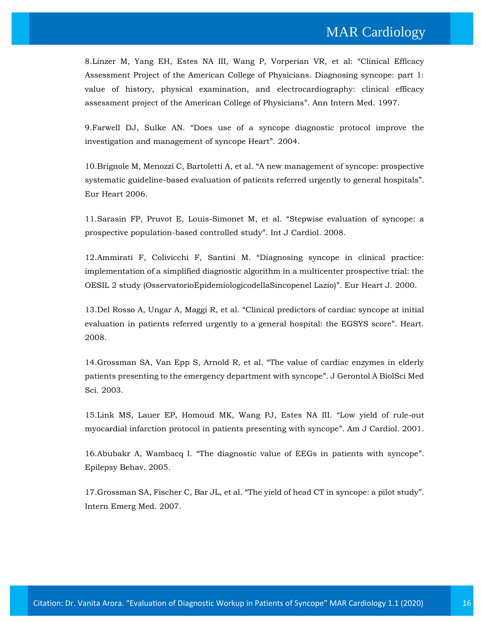8[.Linzer M, Yang EH, Estes NA III, Wang P, Vorperian VR, et al:](https://www.google.com/search?sxsrf=ALeKk03uq4njjKlfaEb9vpXVMkF0DmsAJg%3A1597662126342&ei=rmM6X-HGFPyW4-EPz-iRqAM&q=Clinical+Efficacy+Assessment+Project+of+the+American+College+of+Physicians.+Diagnosing+syncope%3A+part+1%3A+value+of+history%2C+physical+examination%2C+and+electrocardiography%3A+clinical+efficacy+assessment+project+of+the+American+College+of+Physicians&oq=Clinical+Efficacy+Assessment+Project+of+the+American+College+of+Physicians.+Diagnosing+syncope%3A+part+1%3A+value+of+history%2C+physical+examination%2C+and+electrocardiography%3A+clinical+efficacy+assessment+project+of+the+American+College+of+Physicians&gs_lcp=CgZwc3ktYWIQAzIHCCMQ6gIQJzIHCCMQ6gIQJzIHCCMQ6gIQJzIHCCMQ6gIQJzIHCCMQ6gIQJzIHCCMQ6gIQJzIHCCMQ6gIQJzIHCCMQ6gIQJzIHCCMQ6gIQJzIHCCMQ6gIQJ1DN7QNYze0DYLjyA2gBcAB4AIABAIgBAJIBAJgBAKABAaABAqoBB2d3cy13aXqwAQrAAQE&sclient=psy-ab&ved=0ahUKEwjh1Yuci6LrAhV8yzgGHU90BDUQ4dUDCAw&uact=5) "Clinical Efficacy [Assessment Project of the American College of Physicians. Diagnosing syncope: part 1:](https://www.google.com/search?sxsrf=ALeKk03uq4njjKlfaEb9vpXVMkF0DmsAJg%3A1597662126342&ei=rmM6X-HGFPyW4-EPz-iRqAM&q=Clinical+Efficacy+Assessment+Project+of+the+American+College+of+Physicians.+Diagnosing+syncope%3A+part+1%3A+value+of+history%2C+physical+examination%2C+and+electrocardiography%3A+clinical+efficacy+assessment+project+of+the+American+College+of+Physicians&oq=Clinical+Efficacy+Assessment+Project+of+the+American+College+of+Physicians.+Diagnosing+syncope%3A+part+1%3A+value+of+history%2C+physical+examination%2C+and+electrocardiography%3A+clinical+efficacy+assessment+project+of+the+American+College+of+Physicians&gs_lcp=CgZwc3ktYWIQAzIHCCMQ6gIQJzIHCCMQ6gIQJzIHCCMQ6gIQJzIHCCMQ6gIQJzIHCCMQ6gIQJzIHCCMQ6gIQJzIHCCMQ6gIQJzIHCCMQ6gIQJzIHCCMQ6gIQJzIHCCMQ6gIQJ1DN7QNYze0DYLjyA2gBcAB4AIABAIgBAJIBAJgBAKABAaABAqoBB2d3cy13aXqwAQrAAQE&sclient=psy-ab&ved=0ahUKEwjh1Yuci6LrAhV8yzgGHU90BDUQ4dUDCAw&uact=5)  [value of history, physical examination, and electrocardiography: clinical efficacy](https://www.google.com/search?sxsrf=ALeKk03uq4njjKlfaEb9vpXVMkF0DmsAJg%3A1597662126342&ei=rmM6X-HGFPyW4-EPz-iRqAM&q=Clinical+Efficacy+Assessment+Project+of+the+American+College+of+Physicians.+Diagnosing+syncope%3A+part+1%3A+value+of+history%2C+physical+examination%2C+and+electrocardiography%3A+clinical+efficacy+assessment+project+of+the+American+College+of+Physicians&oq=Clinical+Efficacy+Assessment+Project+of+the+American+College+of+Physicians.+Diagnosing+syncope%3A+part+1%3A+value+of+history%2C+physical+examination%2C+and+electrocardiography%3A+clinical+efficacy+assessment+project+of+the+American+College+of+Physicians&gs_lcp=CgZwc3ktYWIQAzIHCCMQ6gIQJzIHCCMQ6gIQJzIHCCMQ6gIQJzIHCCMQ6gIQJzIHCCMQ6gIQJzIHCCMQ6gIQJzIHCCMQ6gIQJzIHCCMQ6gIQJzIHCCMQ6gIQJzIHCCMQ6gIQJ1DN7QNYze0DYLjyA2gBcAB4AIABAIgBAJIBAJgBAKABAaABAqoBB2d3cy13aXqwAQrAAQE&sclient=psy-ab&ved=0ahUKEwjh1Yuci6LrAhV8yzgGHU90BDUQ4dUDCAw&uact=5)  [assessment project of the American College of Physicians](https://www.google.com/search?sxsrf=ALeKk03uq4njjKlfaEb9vpXVMkF0DmsAJg%3A1597662126342&ei=rmM6X-HGFPyW4-EPz-iRqAM&q=Clinical+Efficacy+Assessment+Project+of+the+American+College+of+Physicians.+Diagnosing+syncope%3A+part+1%3A+value+of+history%2C+physical+examination%2C+and+electrocardiography%3A+clinical+efficacy+assessment+project+of+the+American+College+of+Physicians&oq=Clinical+Efficacy+Assessment+Project+of+the+American+College+of+Physicians.+Diagnosing+syncope%3A+part+1%3A+value+of+history%2C+physical+examination%2C+and+electrocardiography%3A+clinical+efficacy+assessment+project+of+the+American+College+of+Physicians&gs_lcp=CgZwc3ktYWIQAzIHCCMQ6gIQJzIHCCMQ6gIQJzIHCCMQ6gIQJzIHCCMQ6gIQJzIHCCMQ6gIQJzIHCCMQ6gIQJzIHCCMQ6gIQJzIHCCMQ6gIQJzIHCCMQ6gIQJzIHCCMQ6gIQJ1DN7QNYze0DYLjyA2gBcAB4AIABAIgBAJIBAJgBAKABAaABAqoBB2d3cy13aXqwAQrAAQE&sclient=psy-ab&ved=0ahUKEwjh1Yuci6LrAhV8yzgGHU90BDUQ4dUDCAw&uact=5)". Ann Intern Med. 1997.

9.Farwell DJ, Sulke AN. "[Does use of a syncope diagnostic protocol improve the](https://www.google.com/search?sxsrf=ALeKk02dn2RlDouj27TKTw5AapO2RCsbZw%3A1597662097176&ei=kWM6X6mzCpqR4-EPsfyI8AE&q=Does+use+of+a+syncope+diagnostic+protocol+improve+the+investigation+and+management+of+syncope+Heart&oq=Does+use+of+a+syncope+diagnostic+protocol+improve+the+investigation+and+management+of+syncope+Heart&gs_lcp=CgZwc3ktYWIQAzoHCCMQ6gIQJ1Do1AFY6NQBYKHbAWgBcAB4AIABngGIAZ4BkgEDMC4xmAEAoAEBoAECqgEHZ3dzLXdperABCsABAQ&sclient=psy-ab&ved=0ahUKEwjpv5eOi6LrAhWayDgGHTE-Ah4Q4dUDCAw&uact=5)  [investigation and management of syncope Heart](https://www.google.com/search?sxsrf=ALeKk02dn2RlDouj27TKTw5AapO2RCsbZw%3A1597662097176&ei=kWM6X6mzCpqR4-EPsfyI8AE&q=Does+use+of+a+syncope+diagnostic+protocol+improve+the+investigation+and+management+of+syncope+Heart&oq=Does+use+of+a+syncope+diagnostic+protocol+improve+the+investigation+and+management+of+syncope+Heart&gs_lcp=CgZwc3ktYWIQAzoHCCMQ6gIQJ1Do1AFY6NQBYKHbAWgBcAB4AIABngGIAZ4BkgEDMC4xmAEAoAEBoAECqgEHZ3dzLXdperABCsABAQ&sclient=psy-ab&ved=0ahUKEwjpv5eOi6LrAhWayDgGHTE-Ah4Q4dUDCAw&uact=5)". 2004.

10.Brignole M, Menozzi C, Bartoletti A, et al. "[A new management of syncope: prospective](https://www.google.com/search?sxsrf=ALeKk01Tfl33Uab6wTBlkLGsmybhu0QruQ%3A1597662067212&ei=c2M6X-DGDNme4-EPxoaN8AY&q=A+new+management+of+syncope%3A+prospective+systematic+guideline-based+evaluation+of+patients+referred+urgently+to+general+hospitals&oq=A+new+management+of+syncope%3A+prospective+systematic+guideline-based+evaluation+of+patients+referred+urgently+to+general+hospitals&gs_lcp=CgZwc3ktYWIQAzIHCCMQ6gIQJzIHCCMQ6gIQJzIHCCMQ6gIQJzIHCCMQ6gIQJzIHCCMQ6gIQJzIHCCMQ6gIQJzIHCCMQ6gIQJzIHCCMQ6gIQJzIHCCMQ6gIQJzIHCCMQ6gIQJ1DV2QFY1dkBYI7iAWgBcAB4AIABAIgBAJIBAJgBAKABAaABAqoBB2d3cy13aXqwAQrAAQE&sclient=psy-ab&ved=0ahUKEwigzPL_iqLrAhVZzzgGHUZDA24Q4dUDCAw&uact=5)  [systematic guideline-based evaluation of patients referred urgently to general hospitals](https://www.google.com/search?sxsrf=ALeKk01Tfl33Uab6wTBlkLGsmybhu0QruQ%3A1597662067212&ei=c2M6X-DGDNme4-EPxoaN8AY&q=A+new+management+of+syncope%3A+prospective+systematic+guideline-based+evaluation+of+patients+referred+urgently+to+general+hospitals&oq=A+new+management+of+syncope%3A+prospective+systematic+guideline-based+evaluation+of+patients+referred+urgently+to+general+hospitals&gs_lcp=CgZwc3ktYWIQAzIHCCMQ6gIQJzIHCCMQ6gIQJzIHCCMQ6gIQJzIHCCMQ6gIQJzIHCCMQ6gIQJzIHCCMQ6gIQJzIHCCMQ6gIQJzIHCCMQ6gIQJzIHCCMQ6gIQJzIHCCMQ6gIQJ1DV2QFY1dkBYI7iAWgBcAB4AIABAIgBAJIBAJgBAKABAaABAqoBB2d3cy13aXqwAQrAAQE&sclient=psy-ab&ved=0ahUKEwigzPL_iqLrAhVZzzgGHUZDA24Q4dUDCAw&uact=5)". [Eur Heart 2006.](https://www.google.com/search?sxsrf=ALeKk01Tfl33Uab6wTBlkLGsmybhu0QruQ%3A1597662067212&ei=c2M6X-DGDNme4-EPxoaN8AY&q=A+new+management+of+syncope%3A+prospective+systematic+guideline-based+evaluation+of+patients+referred+urgently+to+general+hospitals&oq=A+new+management+of+syncope%3A+prospective+systematic+guideline-based+evaluation+of+patients+referred+urgently+to+general+hospitals&gs_lcp=CgZwc3ktYWIQAzIHCCMQ6gIQJzIHCCMQ6gIQJzIHCCMQ6gIQJzIHCCMQ6gIQJzIHCCMQ6gIQJzIHCCMQ6gIQJzIHCCMQ6gIQJzIHCCMQ6gIQJzIHCCMQ6gIQJzIHCCMQ6gIQJ1DV2QFY1dkBYI7iAWgBcAB4AIABAIgBAJIBAJgBAKABAaABAqoBB2d3cy13aXqwAQrAAQE&sclient=psy-ab&ved=0ahUKEwigzPL_iqLrAhVZzzgGHUZDA24Q4dUDCAw&uact=5)

11[.Sarasin FP, Pruvot E, Louis-Simonet M, et al.](https://www.google.com/search?sxsrf=ALeKk01h6mWqYBHLJ7DSzUT7BXMU8PnYXQ%3A1597662028150&ei=TGM6X9_RCIqa4-EPssCGmAM&q=Stepwise+evaluation+of+syncope%3A+a+prospective+population-based+controlled+study&oq=Stepwise+evaluation+of+syncope%3A+a+prospective+population-based+controlled+study&gs_lcp=CgZwc3ktYWIQAzoHCCMQ6gIQJ1CcoAJYnKACYLunAmgBcAB4AIABmwGIAZsBkgEDMC4xmAEAoAEBoAECqgEHZ3dzLXdperABCsABAQ&sclient=psy-ab&ved=0ahUKEwjfp6LtiqLrAhUKzTgGHTKgATMQ4dUDCAw&uact=5) "Stepwise evaluation of syncope: a [prospective population-based controlled study](https://www.google.com/search?sxsrf=ALeKk01h6mWqYBHLJ7DSzUT7BXMU8PnYXQ%3A1597662028150&ei=TGM6X9_RCIqa4-EPssCGmAM&q=Stepwise+evaluation+of+syncope%3A+a+prospective+population-based+controlled+study&oq=Stepwise+evaluation+of+syncope%3A+a+prospective+population-based+controlled+study&gs_lcp=CgZwc3ktYWIQAzoHCCMQ6gIQJ1CcoAJYnKACYLunAmgBcAB4AIABmwGIAZsBkgEDMC4xmAEAoAEBoAECqgEHZ3dzLXdperABCsABAQ&sclient=psy-ab&ved=0ahUKEwjfp6LtiqLrAhUKzTgGHTKgATMQ4dUDCAw&uact=5)". Int J Cardiol. 2008.

12.Ammirati F, Colivicchi F, Santini M. "[Diagnosing syncope in clinical practice:](https://www.google.com/search?sxsrf=ALeKk02pexddX660b8IG4tGgBsjl8LqR3A%3A1597661986693&ei=ImM6X__vKYCb4-EP6K2y8Ak&q=Diagnosing+syncope+in+clinical+practice%3A+implementation+of+a+simplified+diagnostic+algorithm+in+a+multicenter+prospective+trial%3A+the+OESIL+2+study+%28OsservatorioEpidemiologicodellaSincopenel+Lazio%29&oq=Diagnosing+syncope+in+clinical+practice%3A+implementation+of+a+simplified+diagnostic+algorithm+in+a+multicenter+prospective+trial%3A+the+OESIL+2+study+%28OsservatorioEpidemiologicodellaSincopenel+Lazio%29&gs_lcp=CgZwc3ktYWIQAzIHCCMQ6gIQJzIHCCMQ6gIQJzIHCCMQ6gIQJzIHCCMQ6gIQJzIHCCMQ6gIQJzIHCCMQ6gIQJzIHCCMQ6gIQJzIHCCMQ6gIQJzIHCCMQ6gIQJzIHCCMQ6gIQJ1D_tQJY_7UCYMa8AmgBcAB4AIABAIgBAJIBAJgBAKABAaABAqoBB2d3cy13aXqwAQrAAQE&sclient=psy-ab&ved=0ahUKEwj_iMDZiqLrAhWAzTgGHeiWDJ4Q4dUDCAw&uact=5)  [implementation of a simplified diagnostic algorithm in a multicenter prospective trial: the](https://www.google.com/search?sxsrf=ALeKk02pexddX660b8IG4tGgBsjl8LqR3A%3A1597661986693&ei=ImM6X__vKYCb4-EP6K2y8Ak&q=Diagnosing+syncope+in+clinical+practice%3A+implementation+of+a+simplified+diagnostic+algorithm+in+a+multicenter+prospective+trial%3A+the+OESIL+2+study+%28OsservatorioEpidemiologicodellaSincopenel+Lazio%29&oq=Diagnosing+syncope+in+clinical+practice%3A+implementation+of+a+simplified+diagnostic+algorithm+in+a+multicenter+prospective+trial%3A+the+OESIL+2+study+%28OsservatorioEpidemiologicodellaSincopenel+Lazio%29&gs_lcp=CgZwc3ktYWIQAzIHCCMQ6gIQJzIHCCMQ6gIQJzIHCCMQ6gIQJzIHCCMQ6gIQJzIHCCMQ6gIQJzIHCCMQ6gIQJzIHCCMQ6gIQJzIHCCMQ6gIQJzIHCCMQ6gIQJzIHCCMQ6gIQJ1D_tQJY_7UCYMa8AmgBcAB4AIABAIgBAJIBAJgBAKABAaABAqoBB2d3cy13aXqwAQrAAQE&sclient=psy-ab&ved=0ahUKEwj_iMDZiqLrAhWAzTgGHeiWDJ4Q4dUDCAw&uact=5)  [OESIL 2 study \(OsservatorioEpidemiologicodellaSincopenel Lazio\)](https://www.google.com/search?sxsrf=ALeKk02pexddX660b8IG4tGgBsjl8LqR3A%3A1597661986693&ei=ImM6X__vKYCb4-EP6K2y8Ak&q=Diagnosing+syncope+in+clinical+practice%3A+implementation+of+a+simplified+diagnostic+algorithm+in+a+multicenter+prospective+trial%3A+the+OESIL+2+study+%28OsservatorioEpidemiologicodellaSincopenel+Lazio%29&oq=Diagnosing+syncope+in+clinical+practice%3A+implementation+of+a+simplified+diagnostic+algorithm+in+a+multicenter+prospective+trial%3A+the+OESIL+2+study+%28OsservatorioEpidemiologicodellaSincopenel+Lazio%29&gs_lcp=CgZwc3ktYWIQAzIHCCMQ6gIQJzIHCCMQ6gIQJzIHCCMQ6gIQJzIHCCMQ6gIQJzIHCCMQ6gIQJzIHCCMQ6gIQJzIHCCMQ6gIQJzIHCCMQ6gIQJzIHCCMQ6gIQJzIHCCMQ6gIQJ1D_tQJY_7UCYMa8AmgBcAB4AIABAIgBAJIBAJgBAKABAaABAqoBB2d3cy13aXqwAQrAAQE&sclient=psy-ab&ved=0ahUKEwj_iMDZiqLrAhWAzTgGHeiWDJ4Q4dUDCAw&uact=5)". Eur Heart J. 2000.

13.Del Rosso A, Ungar A, Maggi R, et al. "[Clinical predictors of cardiac syncope at initial](https://www.google.com/search?sxsrf=ALeKk01YERs5hyqud2uMxyE4ryQj7lmooA%3A1597661928932&ei=6GI6X47CONmb4-EPk8m0wA0&q=Clinical+predictors+of+cardiac+syncope+at+initial+evaluation+in+patients+referred+urgently+to+a+general+hospital%3A+the+EGSYS+score&oq=Clinical+predictors+of+cardiac+syncope+at+initial+evaluation+in+patients+referred+urgently+to+a+general+hospital%3A+the+EGSYS+score&gs_lcp=CgZwc3ktYWIQAzIHCCMQ6gIQJzIHCCMQ6gIQJzIHCCMQ6gIQJzIHCCMQ6gIQJzIHCCMQ6gIQJzIHCCMQ6gIQJzIHCCMQ6gIQJzIHCCMQ6gIQJzIHCCMQ6gIQJzIHCCMQ6gIQJ1DXtQNY17UDYJC7A2gBcAB4AIABAIgBAJIBAJgBAKABAaABAqoBB2d3cy13aXqwAQrAAQE&sclient=psy-ab&ved=0ahUKEwiO1vq9iqLrAhXZzTgGHZMkDdgQ4dUDCAw&uact=5)  [evaluation in patients referred urgently to a general hospital: the EGSYS score](https://www.google.com/search?sxsrf=ALeKk01YERs5hyqud2uMxyE4ryQj7lmooA%3A1597661928932&ei=6GI6X47CONmb4-EPk8m0wA0&q=Clinical+predictors+of+cardiac+syncope+at+initial+evaluation+in+patients+referred+urgently+to+a+general+hospital%3A+the+EGSYS+score&oq=Clinical+predictors+of+cardiac+syncope+at+initial+evaluation+in+patients+referred+urgently+to+a+general+hospital%3A+the+EGSYS+score&gs_lcp=CgZwc3ktYWIQAzIHCCMQ6gIQJzIHCCMQ6gIQJzIHCCMQ6gIQJzIHCCMQ6gIQJzIHCCMQ6gIQJzIHCCMQ6gIQJzIHCCMQ6gIQJzIHCCMQ6gIQJzIHCCMQ6gIQJzIHCCMQ6gIQJ1DXtQNY17UDYJC7A2gBcAB4AIABAIgBAJIBAJgBAKABAaABAqoBB2d3cy13aXqwAQrAAQE&sclient=psy-ab&ved=0ahUKEwiO1vq9iqLrAhXZzTgGHZMkDdgQ4dUDCAw&uact=5)". Heart. [2008.](https://www.google.com/search?sxsrf=ALeKk01YERs5hyqud2uMxyE4ryQj7lmooA%3A1597661928932&ei=6GI6X47CONmb4-EPk8m0wA0&q=Clinical+predictors+of+cardiac+syncope+at+initial+evaluation+in+patients+referred+urgently+to+a+general+hospital%3A+the+EGSYS+score&oq=Clinical+predictors+of+cardiac+syncope+at+initial+evaluation+in+patients+referred+urgently+to+a+general+hospital%3A+the+EGSYS+score&gs_lcp=CgZwc3ktYWIQAzIHCCMQ6gIQJzIHCCMQ6gIQJzIHCCMQ6gIQJzIHCCMQ6gIQJzIHCCMQ6gIQJzIHCCMQ6gIQJzIHCCMQ6gIQJzIHCCMQ6gIQJzIHCCMQ6gIQJzIHCCMQ6gIQJ1DXtQNY17UDYJC7A2gBcAB4AIABAIgBAJIBAJgBAKABAaABAqoBB2d3cy13aXqwAQrAAQE&sclient=psy-ab&ved=0ahUKEwiO1vq9iqLrAhXZzTgGHZMkDdgQ4dUDCAw&uact=5)

14[.Grossman SA, Van Epp S, Arnold R, et al.](https://www.google.com/search?sxsrf=ALeKk01DpiovrDJh00jx4tMSj-W6jq8v1Q%3A1597661856629&ei=oGI6X9n9Jbie4-EPr5uC0AE&q=The+value+of+cardiac+enzymes+in+elderly+patients+presenting+to+the+emergency+department+with+syncope&oq=The+value+of+cardiac+enzymes+in+elderly+patients+presenting+to+the+emergency+department+with+syncope&gs_lcp=CgZwc3ktYWIQAzoHCCMQ6gIQJ1CdpQRYnaUEYLKtBGgBcAB4AIAByAGIAcgBkgEDMi0xmAEAoAEBoAECqgEHZ3dzLXdperABCsABAQ&sclient=psy-ab&ved=0ahUKEwjZzb2biqLrAhU4zzgGHa-NABoQ4dUDCAw&uact=5) "The value of cardiac enzymes in elderly [patients presenting to the emergency department with syncope](https://www.google.com/search?sxsrf=ALeKk01DpiovrDJh00jx4tMSj-W6jq8v1Q%3A1597661856629&ei=oGI6X9n9Jbie4-EPr5uC0AE&q=The+value+of+cardiac+enzymes+in+elderly+patients+presenting+to+the+emergency+department+with+syncope&oq=The+value+of+cardiac+enzymes+in+elderly+patients+presenting+to+the+emergency+department+with+syncope&gs_lcp=CgZwc3ktYWIQAzoHCCMQ6gIQJ1CdpQRYnaUEYLKtBGgBcAB4AIAByAGIAcgBkgEDMi0xmAEAoAEBoAECqgEHZ3dzLXdperABCsABAQ&sclient=psy-ab&ved=0ahUKEwjZzb2biqLrAhU4zzgGHa-NABoQ4dUDCAw&uact=5)". J Gerontol A BiolSci Med [Sci. 2003.](https://www.google.com/search?sxsrf=ALeKk01DpiovrDJh00jx4tMSj-W6jq8v1Q%3A1597661856629&ei=oGI6X9n9Jbie4-EPr5uC0AE&q=The+value+of+cardiac+enzymes+in+elderly+patients+presenting+to+the+emergency+department+with+syncope&oq=The+value+of+cardiac+enzymes+in+elderly+patients+presenting+to+the+emergency+department+with+syncope&gs_lcp=CgZwc3ktYWIQAzoHCCMQ6gIQJ1CdpQRYnaUEYLKtBGgBcAB4AIAByAGIAcgBkgEDMi0xmAEAoAEBoAECqgEHZ3dzLXdperABCsABAQ&sclient=psy-ab&ved=0ahUKEwjZzb2biqLrAhU4zzgGHa-NABoQ4dUDCAw&uact=5)

15[.Link MS, Lauer EP, Homoud](https://www.google.com/search?sxsrf=ALeKk03ImABbPDQVA29u9JpYuzF_cmsIwg%3A1597661800817&ei=aGI6X6-uMYCJ4-EPqtq2CA&q=Low+yield+of+rule-out+myocardial+infarction+protocol+in+patients+presenting+with+syncope&oq=Low+yield+of+rule-out+myocardial+infarction+protocol+in+patients+presenting+with+syncope&gs_lcp=CgZwc3ktYWIQAzoHCCMQ6gIQJ1CTpwNYk6cDYLusA2gBcAB4AIABiQGIAYkBkgEDMC4xmAEAoAEBoAECqgEHZ3dzLXdperABCsABAQ&sclient=psy-ab&ved=0ahUKEwivgu-AiqLrAhWAxDgGHSqtDQEQ4dUDCAw&uact=5) MK, Wang PJ, Estes NA III. "Low yield of rule-out [myocardial infarction protocol in patients presenting with syncope](https://www.google.com/search?sxsrf=ALeKk03ImABbPDQVA29u9JpYuzF_cmsIwg%3A1597661800817&ei=aGI6X6-uMYCJ4-EPqtq2CA&q=Low+yield+of+rule-out+myocardial+infarction+protocol+in+patients+presenting+with+syncope&oq=Low+yield+of+rule-out+myocardial+infarction+protocol+in+patients+presenting+with+syncope&gs_lcp=CgZwc3ktYWIQAzoHCCMQ6gIQJ1CTpwNYk6cDYLusA2gBcAB4AIABiQGIAYkBkgEDMC4xmAEAoAEBoAECqgEHZ3dzLXdperABCsABAQ&sclient=psy-ab&ved=0ahUKEwivgu-AiqLrAhWAxDgGHSqtDQEQ4dUDCAw&uact=5)". Am J Cardiol. 2001.

16.Abubakr A, Wambacq I. "[The diagnostic value of EEGs in patients with syncope](https://www.google.com/search?sxsrf=ALeKk01bX0whK2l-Leerg0MgZa6ACXJMqw%3A1597661770527&ei=SmI6X4TVH6Od4-EP8d6zkAI&q=The+diagnostic+value+of+EEGs+in+patients+with+syncope&oq=The+diagnostic+value+of+EEGs+in+patients+with+syncope&gs_lcp=CgZwc3ktYWIQAzoHCCMQ6gIQJ1Ch3wFYod8BYMrlAWgBcAB4AIABlQKIAZUCkgEDMi0xmAEAoAEBoAECqgEHZ3dzLXdperABCsABAQ&sclient=psy-ab&ved=0ahUKEwiEorbyiaLrAhWjzjgGHXHvDCIQ4dUDCAw&uact=5)". [Epilepsy Behav. 2005.](https://www.google.com/search?sxsrf=ALeKk01bX0whK2l-Leerg0MgZa6ACXJMqw%3A1597661770527&ei=SmI6X4TVH6Od4-EP8d6zkAI&q=The+diagnostic+value+of+EEGs+in+patients+with+syncope&oq=The+diagnostic+value+of+EEGs+in+patients+with+syncope&gs_lcp=CgZwc3ktYWIQAzoHCCMQ6gIQJ1Ch3wFYod8BYMrlAWgBcAB4AIABlQKIAZUCkgEDMi0xmAEAoAEBoAECqgEHZ3dzLXdperABCsABAQ&sclient=psy-ab&ved=0ahUKEwiEorbyiaLrAhWjzjgGHXHvDCIQ4dUDCAw&uact=5)

17.Grossman SA, Fischer C, Bar JL, et al. "[The yield of head CT in syncope: a pilot study](https://www.google.com/search?sxsrf=ALeKk02pOMjQSd2S33IW8fgf1vqU1skMbg%3A1597661684949&ei=9GE6X7i4OY2f4-EPgPOL4AY&q=The+yield+of+head+CT+in+syncope%3A+a+pilot+study&oq=The+yield+of+head+CT+in+syncope%3A+a+pilot+study&gs_lcp=CgZwc3ktYWIQAzoHCCMQ6gIQJ1DhjAVY4YwFYLOUBWgBcAB4AIAByAGIAcgBkgEDMi0xmAEAoAEBoAECqgEHZ3dzLXdperABCsABAQ&sclient=psy-ab&ved=0ahUKEwi4gs_JiaLrAhWNzzgGHYD5AmwQ4dUDCAw&uact=5)". [Intern Emerg Med. 2007.](https://www.google.com/search?sxsrf=ALeKk02pOMjQSd2S33IW8fgf1vqU1skMbg%3A1597661684949&ei=9GE6X7i4OY2f4-EPgPOL4AY&q=The+yield+of+head+CT+in+syncope%3A+a+pilot+study&oq=The+yield+of+head+CT+in+syncope%3A+a+pilot+study&gs_lcp=CgZwc3ktYWIQAzoHCCMQ6gIQJ1DhjAVY4YwFYLOUBWgBcAB4AIAByAGIAcgBkgEDMi0xmAEAoAEBoAECqgEHZ3dzLXdperABCsABAQ&sclient=psy-ab&ved=0ahUKEwi4gs_JiaLrAhWNzzgGHYD5AmwQ4dUDCAw&uact=5)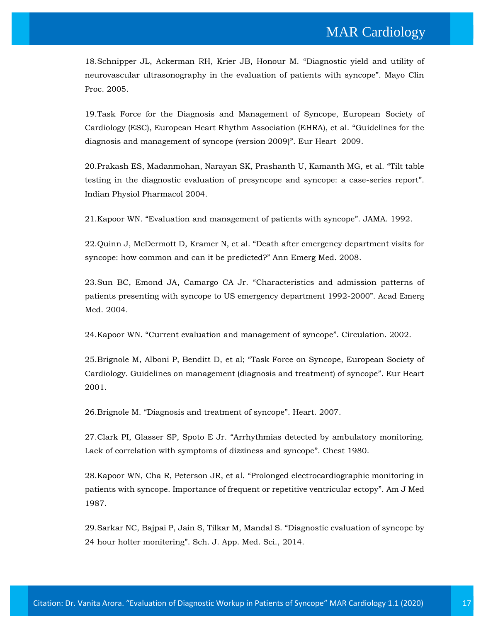18[.Schnipper JL, Ackerman RH, Krier JB, Honour M.](https://www.google.com/search?sxsrf=ALeKk016nC3iFllqhGa6oJZt1xxg4VwMzw%3A1597661585943&ei=kWE6X7yaOdia4-EP69GsqA8&q=%E2%80%9CDiagnostic+yield+and+utility+of+neurovascular+ultrasonography+in+the+evaluation+of+patients+with+syncope&oq=%E2%80%9CDiagnostic+yield+and+utility+of+neurovascular+ultrasonography+in+the+evaluation+of+patients+with+syncope&gs_lcp=CgZwc3ktYWIQAzIHCCMQ6gIQJzIHCCMQ6gIQJzIHCCMQ6gIQJzIHCCMQ6gIQJzIHCCMQ6gIQJzIHCCMQ6gIQJzIHCCMQ6gIQJzIHCCMQ6gIQJzIHCCMQ6gIQJzIHCCMQ6gIQJ1D88wVY_PMFYOr7BWgBcAB4AIABAIgBAJIBAJgBAKABAaABAqoBB2d3cy13aXqwAQrAAQE&sclient=psy-ab&ved=0ahUKEwj8prSaiaLrAhVYzTgGHesoC_UQ4dUDCAw&uact=5) "Diagnostic yield and utility of [neurovascular ultrasonography in the evaluation of patients with syncope](https://www.google.com/search?sxsrf=ALeKk016nC3iFllqhGa6oJZt1xxg4VwMzw%3A1597661585943&ei=kWE6X7yaOdia4-EP69GsqA8&q=%E2%80%9CDiagnostic+yield+and+utility+of+neurovascular+ultrasonography+in+the+evaluation+of+patients+with+syncope&oq=%E2%80%9CDiagnostic+yield+and+utility+of+neurovascular+ultrasonography+in+the+evaluation+of+patients+with+syncope&gs_lcp=CgZwc3ktYWIQAzIHCCMQ6gIQJzIHCCMQ6gIQJzIHCCMQ6gIQJzIHCCMQ6gIQJzIHCCMQ6gIQJzIHCCMQ6gIQJzIHCCMQ6gIQJzIHCCMQ6gIQJzIHCCMQ6gIQJzIHCCMQ6gIQJ1D88wVY_PMFYOr7BWgBcAB4AIABAIgBAJIBAJgBAKABAaABAqoBB2d3cy13aXqwAQrAAQE&sclient=psy-ab&ved=0ahUKEwj8prSaiaLrAhVYzTgGHesoC_UQ4dUDCAw&uact=5)". Mayo Clin [Proc. 2005.](https://www.google.com/search?sxsrf=ALeKk016nC3iFllqhGa6oJZt1xxg4VwMzw%3A1597661585943&ei=kWE6X7yaOdia4-EP69GsqA8&q=%E2%80%9CDiagnostic+yield+and+utility+of+neurovascular+ultrasonography+in+the+evaluation+of+patients+with+syncope&oq=%E2%80%9CDiagnostic+yield+and+utility+of+neurovascular+ultrasonography+in+the+evaluation+of+patients+with+syncope&gs_lcp=CgZwc3ktYWIQAzIHCCMQ6gIQJzIHCCMQ6gIQJzIHCCMQ6gIQJzIHCCMQ6gIQJzIHCCMQ6gIQJzIHCCMQ6gIQJzIHCCMQ6gIQJzIHCCMQ6gIQJzIHCCMQ6gIQJzIHCCMQ6gIQJ1D88wVY_PMFYOr7BWgBcAB4AIABAIgBAJIBAJgBAKABAaABAqoBB2d3cy13aXqwAQrAAQE&sclient=psy-ab&ved=0ahUKEwj8prSaiaLrAhVYzTgGHesoC_UQ4dUDCAw&uact=5)

19[.Task Force for the Diagnosis and Management of Syncope, European Society of](https://www.google.com/search?sxsrf=ALeKk00bGpecKIF96RcE4rz5ygPBb-CsLA%3A1597661540887&ei=ZGE6X_LkNYbE4-EPmeWoiAU&q=Guidelines+for+the+diagnosis+and+management+of+syncope+%28version+2009%29&oq=Guidelines+for+the+diagnosis+and+management+of+syncope+%28version+2009%29&gs_lcp=CgZwc3ktYWIQAzICCAAyBggAEBYQHjoECCMQJzoHCCMQ6gIQJ1Cn0gJYp9ICYMnYAmgBcAB4AIABnAGIAbICkgEDMC4ymAEAoAEBoAECqgEHZ3dzLXdperABCsABAQ&sclient=psy-ab&ved=0ahUKEwjypvaEiaLrAhUG4jgGHZkyClEQ4dUDCAw&uact=5)  [Cardiology \(ESC\), European Heart Rhythm Association \(EHRA\), et al.](https://www.google.com/search?sxsrf=ALeKk00bGpecKIF96RcE4rz5ygPBb-CsLA%3A1597661540887&ei=ZGE6X_LkNYbE4-EPmeWoiAU&q=Guidelines+for+the+diagnosis+and+management+of+syncope+%28version+2009%29&oq=Guidelines+for+the+diagnosis+and+management+of+syncope+%28version+2009%29&gs_lcp=CgZwc3ktYWIQAzICCAAyBggAEBYQHjoECCMQJzoHCCMQ6gIQJ1Cn0gJYp9ICYMnYAmgBcAB4AIABnAGIAbICkgEDMC4ymAEAoAEBoAECqgEHZ3dzLXdperABCsABAQ&sclient=psy-ab&ved=0ahUKEwjypvaEiaLrAhUG4jgGHZkyClEQ4dUDCAw&uact=5) "Guidelines for the [diagnosis and management of syncope \(version 2009\)](https://www.google.com/search?sxsrf=ALeKk00bGpecKIF96RcE4rz5ygPBb-CsLA%3A1597661540887&ei=ZGE6X_LkNYbE4-EPmeWoiAU&q=Guidelines+for+the+diagnosis+and+management+of+syncope+%28version+2009%29&oq=Guidelines+for+the+diagnosis+and+management+of+syncope+%28version+2009%29&gs_lcp=CgZwc3ktYWIQAzICCAAyBggAEBYQHjoECCMQJzoHCCMQ6gIQJ1Cn0gJYp9ICYMnYAmgBcAB4AIABnAGIAbICkgEDMC4ymAEAoAEBoAECqgEHZ3dzLXdperABCsABAQ&sclient=psy-ab&ved=0ahUKEwjypvaEiaLrAhUG4jgGHZkyClEQ4dUDCAw&uact=5)". Eur Heart 2009.

20[.Prakash ES, Madanmohan, Narayan SK, Prashanth U, Kamanth MG, et al.](https://www.google.com/search?sxsrf=ALeKk01i5J86rQP8MdA9SYfT-ciOPkKAfg%3A1597661506705&ei=QmE6X7rdKtGb4-EP2M6BiAY&q=Tilt+table+testing+in+the+diagnostic+evaluation+of+presyncope+and+syncope%3A+a+case-series+report&oq=Tilt+table+testing+in+the+diagnostic+evaluation+of+presyncope+and+syncope%3A+a+case-series+report&gs_lcp=CgZwc3ktYWIQAzoHCCMQ6gIQJ1DW_QFY1v0BYIyEAmgBcAB4AIABnQGIAZ0BkgEDMC4xmAEAoAEBoAECqgEHZ3dzLXdperABCsABAQ&sclient=psy-ab&ved=0ahUKEwi6htD0iKLrAhXRzTgGHVhnAGEQ4dUDCAw&uact=5) "Tilt table [testing in the diagnostic evaluation of presyncope and syncope: a case-series report](https://www.google.com/search?sxsrf=ALeKk01i5J86rQP8MdA9SYfT-ciOPkKAfg%3A1597661506705&ei=QmE6X7rdKtGb4-EP2M6BiAY&q=Tilt+table+testing+in+the+diagnostic+evaluation+of+presyncope+and+syncope%3A+a+case-series+report&oq=Tilt+table+testing+in+the+diagnostic+evaluation+of+presyncope+and+syncope%3A+a+case-series+report&gs_lcp=CgZwc3ktYWIQAzoHCCMQ6gIQJ1DW_QFY1v0BYIyEAmgBcAB4AIABnQGIAZ0BkgEDMC4xmAEAoAEBoAECqgEHZ3dzLXdperABCsABAQ&sclient=psy-ab&ved=0ahUKEwi6htD0iKLrAhXRzTgGHVhnAGEQ4dUDCAw&uact=5)". [Indian Physiol Pharmacol 2004.](https://www.google.com/search?sxsrf=ALeKk01i5J86rQP8MdA9SYfT-ciOPkKAfg%3A1597661506705&ei=QmE6X7rdKtGb4-EP2M6BiAY&q=Tilt+table+testing+in+the+diagnostic+evaluation+of+presyncope+and+syncope%3A+a+case-series+report&oq=Tilt+table+testing+in+the+diagnostic+evaluation+of+presyncope+and+syncope%3A+a+case-series+report&gs_lcp=CgZwc3ktYWIQAzoHCCMQ6gIQJ1DW_QFY1v0BYIyEAmgBcAB4AIABnQGIAZ0BkgEDMC4xmAEAoAEBoAECqgEHZ3dzLXdperABCsABAQ&sclient=psy-ab&ved=0ahUKEwi6htD0iKLrAhXRzTgGHVhnAGEQ4dUDCAw&uact=5)

21.Kapoor WN. "[Evaluation and management of patients with syncope](https://www.google.com/search?sxsrf=ALeKk0118RGEEGdWWi-LA-8oJXnsQGgXxA%3A1597661435456&ei=-2A6X-i6G-SW4-EP66ahUA&q=Evaluation+and+management+of+patients+with+syncope&oq=Evaluation+and+management+of+patients+with+syncope&gs_lcp=CgZwc3ktYWIQAzICCAAyBggAEBYQHjIGCAAQFhAeMgYIABAWEB46BwgjEOoCECdQ_p0EWP6dBGDNpARoAXAAeACAAWOIAWOSAQExmAEAoAEBoAECqgEHZ3dzLXdperABCsABAQ&sclient=psy-ab&ved=0ahUKEwiopNPSiKLrAhVkyzgGHWtTCAoQ4dUDCAw&uact=5)". JAMA. 1992.

22.Quinn J, McDermott D, Kramer N, et al. "[Death after emergency department visits for](https://www.google.com/search?sxsrf=ALeKk03S6wd709_rUFI-Pe-iGldBYXpUCg%3A1597661373624&ei=vWA6X7flJdma4-EPmMGl0Ao&q=Death+after+emergency+department+visits+for+syncope%3A+how+common+and+can+it+be+predicted%3F%E2%80%9D+&oq=Death+after+emergency+department+visits+for+syncope%3A+how+common+and+can+it+be+predicted%3F%E2%80%9D+&gs_lcp=CgZwc3ktYWIQAzIECAAQHjoHCCMQ6gIQJ1CX1ANYl9QDYIDbA2gBcAB4AIABa4gBa5IBAzAuMZgBAKABAaABAqoBB2d3cy13aXqwAQrAAQE&sclient=psy-ab&ved=0ahUKEwj3t5W1iKLrAhVZzTgGHZhgCaoQ4dUDCAw&uact=5)  [syncope: how common and can it be predicted?](https://www.google.com/search?sxsrf=ALeKk03S6wd709_rUFI-Pe-iGldBYXpUCg%3A1597661373624&ei=vWA6X7flJdma4-EPmMGl0Ao&q=Death+after+emergency+department+visits+for+syncope%3A+how+common+and+can+it+be+predicted%3F%E2%80%9D+&oq=Death+after+emergency+department+visits+for+syncope%3A+how+common+and+can+it+be+predicted%3F%E2%80%9D+&gs_lcp=CgZwc3ktYWIQAzIECAAQHjoHCCMQ6gIQJ1CX1ANYl9QDYIDbA2gBcAB4AIABa4gBa5IBAzAuMZgBAKABAaABAqoBB2d3cy13aXqwAQrAAQE&sclient=psy-ab&ved=0ahUKEwj3t5W1iKLrAhVZzTgGHZhgCaoQ4dUDCAw&uact=5)" Ann Emerg Med. 2008.

23.Sun BC, Emond JA, Camargo CA Jr. "[Characteristics and admission patterns of](https://www.google.com/search?sxsrf=ALeKk03W4mA5_kvCu6uvop-dpeBxrfnkzQ%3A1597661272307&ei=WGA6X8yoEszG4-EPjcq6wAU&q=Characteristics+and+admission+patterns+of+patients+presenting+with+syncope+to+US+emergency+department+1992-2000&oq=Characteristics+and+admission+patterns+of+patients+presenting+with+syncope+to+US+emergency+department+1992-2000&gs_lcp=CgZwc3ktYWIQAzIHCCMQ6gIQJzIHCCMQ6gIQJzIHCCMQ6gIQJzIHCCMQ6gIQJzIHCCMQ6gIQJzIHCCMQ6gIQJzIHCCMQ6gIQJzIHCCMQ6gIQJzIHCCMQ6gIQJzIHCCMQ6gIQJzoECAAQR1CDhwZYg4cGYN2PBmgBcAF4AIABAIgBAJIBAJgBAaABAaABAqoBB2d3cy13aXqwAQrAAQE&sclient=psy-ab&ved=0ahUKEwjMtO2EiKLrAhVM4zgGHQ2lDlgQ4dUDCAw&uact=5)  [patients presenting with syncope to US emergency department 1992-2000](https://www.google.com/search?sxsrf=ALeKk03W4mA5_kvCu6uvop-dpeBxrfnkzQ%3A1597661272307&ei=WGA6X8yoEszG4-EPjcq6wAU&q=Characteristics+and+admission+patterns+of+patients+presenting+with+syncope+to+US+emergency+department+1992-2000&oq=Characteristics+and+admission+patterns+of+patients+presenting+with+syncope+to+US+emergency+department+1992-2000&gs_lcp=CgZwc3ktYWIQAzIHCCMQ6gIQJzIHCCMQ6gIQJzIHCCMQ6gIQJzIHCCMQ6gIQJzIHCCMQ6gIQJzIHCCMQ6gIQJzIHCCMQ6gIQJzIHCCMQ6gIQJzIHCCMQ6gIQJzIHCCMQ6gIQJzoECAAQR1CDhwZYg4cGYN2PBmgBcAF4AIABAIgBAJIBAJgBAaABAaABAqoBB2d3cy13aXqwAQrAAQE&sclient=psy-ab&ved=0ahUKEwjMtO2EiKLrAhVM4zgGHQ2lDlgQ4dUDCAw&uact=5)". Acad Emerg [Med. 2004.](https://www.google.com/search?sxsrf=ALeKk03W4mA5_kvCu6uvop-dpeBxrfnkzQ%3A1597661272307&ei=WGA6X8yoEszG4-EPjcq6wAU&q=Characteristics+and+admission+patterns+of+patients+presenting+with+syncope+to+US+emergency+department+1992-2000&oq=Characteristics+and+admission+patterns+of+patients+presenting+with+syncope+to+US+emergency+department+1992-2000&gs_lcp=CgZwc3ktYWIQAzIHCCMQ6gIQJzIHCCMQ6gIQJzIHCCMQ6gIQJzIHCCMQ6gIQJzIHCCMQ6gIQJzIHCCMQ6gIQJzIHCCMQ6gIQJzIHCCMQ6gIQJzIHCCMQ6gIQJzIHCCMQ6gIQJzoECAAQR1CDhwZYg4cGYN2PBmgBcAF4AIABAIgBAJIBAJgBAaABAaABAqoBB2d3cy13aXqwAQrAAQE&sclient=psy-ab&ved=0ahUKEwjMtO2EiKLrAhVM4zgGHQ2lDlgQ4dUDCAw&uact=5)

24.Kapoor WN. "[Current evaluation and management of syncope](https://www.google.com/search?sxsrf=ALeKk02IahO_BNo4p4M_kgA4yTKO6viCFw%3A1597661212894&ei=HGA6X8KRNo2W4-EPw7iVkAs&q=Current+evaluation+and+management+of+syncope&oq=Current+evaluation+and+management+of+syncope&gs_lcp=CgZwc3ktYWIQAzIICCEQFhAdEB46BAgAEEc6BwgjEOoCECdQ3MIDWNzCA2C0yANoAXACeACAAYgBiAGIAZIBAzAuMZgBAKABAaABAqoBB2d3cy13aXqwAQrAAQE&sclient=psy-ab&ved=0ahUKEwjCj8Poh6LrAhUNyzgGHUNcBbIQ4dUDCAw&uact=5)". Circulation. 2002.

25.Brignole M, Alboni P, Benditt D, et al; "[Task Force on Syncope, European Society of](https://www.google.com/search?sxsrf=ALeKk02w5yw63z9K4rwTXgiR81ZgZWf_mQ%3A1597661179563&ei=-186X6T4IYaX4-EPhZ-F-AQ&q=Task+Force+on+Syncope%2C+European+Society+of+Cardiology.+Guidelines+on+management+%28diagnosis+and+treatment%29+of+syncope&oq=Task+Force+on+Syncope%2C+European+Society+of+Cardiology.+Guidelines+on+management+%28diagnosis+and+treatment%29+of+syncope&gs_lcp=CgZwc3ktYWIQAzIHCCMQ6gIQJzIHCCMQ6gIQJzIHCCMQ6gIQJzIHCCMQ6gIQJzIHCCMQ6gIQJzIHCCMQ6gIQJzIHCCMQ6gIQJzIHCCMQ6gIQJzIHCCMQ6gIQJzIHCCMQ6gIQJ1D09QFY9PUBYKn9AWgBcAB4AIABAIgBAJIBAJgBAKABAaABAqoBB2d3cy13aXqwAQrAAQE&sclient=psy-ab&ved=0ahUKEwjk4dDYh6LrAhWGyzgGHYVPAU8Q4dUDCAw&uact=5)  [Cardiology. Guidelines on management \(diagnosis and treatment\) of syncope](https://www.google.com/search?sxsrf=ALeKk02w5yw63z9K4rwTXgiR81ZgZWf_mQ%3A1597661179563&ei=-186X6T4IYaX4-EPhZ-F-AQ&q=Task+Force+on+Syncope%2C+European+Society+of+Cardiology.+Guidelines+on+management+%28diagnosis+and+treatment%29+of+syncope&oq=Task+Force+on+Syncope%2C+European+Society+of+Cardiology.+Guidelines+on+management+%28diagnosis+and+treatment%29+of+syncope&gs_lcp=CgZwc3ktYWIQAzIHCCMQ6gIQJzIHCCMQ6gIQJzIHCCMQ6gIQJzIHCCMQ6gIQJzIHCCMQ6gIQJzIHCCMQ6gIQJzIHCCMQ6gIQJzIHCCMQ6gIQJzIHCCMQ6gIQJzIHCCMQ6gIQJ1D09QFY9PUBYKn9AWgBcAB4AIABAIgBAJIBAJgBAKABAaABAqoBB2d3cy13aXqwAQrAAQE&sclient=psy-ab&ved=0ahUKEwjk4dDYh6LrAhWGyzgGHYVPAU8Q4dUDCAw&uact=5)". Eur Heart [2001.](https://www.google.com/search?sxsrf=ALeKk02w5yw63z9K4rwTXgiR81ZgZWf_mQ%3A1597661179563&ei=-186X6T4IYaX4-EPhZ-F-AQ&q=Task+Force+on+Syncope%2C+European+Society+of+Cardiology.+Guidelines+on+management+%28diagnosis+and+treatment%29+of+syncope&oq=Task+Force+on+Syncope%2C+European+Society+of+Cardiology.+Guidelines+on+management+%28diagnosis+and+treatment%29+of+syncope&gs_lcp=CgZwc3ktYWIQAzIHCCMQ6gIQJzIHCCMQ6gIQJzIHCCMQ6gIQJzIHCCMQ6gIQJzIHCCMQ6gIQJzIHCCMQ6gIQJzIHCCMQ6gIQJzIHCCMQ6gIQJzIHCCMQ6gIQJzIHCCMQ6gIQJ1D09QFY9PUBYKn9AWgBcAB4AIABAIgBAJIBAJgBAKABAaABAqoBB2d3cy13aXqwAQrAAQE&sclient=psy-ab&ved=0ahUKEwjk4dDYh6LrAhWGyzgGHYVPAU8Q4dUDCAw&uact=5)

26.Brignole M. "[Diagnosis and treatment of syncope](https://www.google.com/search?sxsrf=ALeKk01SYnu-sHWrTyPnBcKvyQxNEZ5hTA%3A1597661147279&ei=2186X_fUEL6F4-EP4Ia9uAc&q=Diagnosis+and+treatment+of+syncope&oq=Diagnosis+and+treatment+of+syncope&gs_lcp=CgZwc3ktYWIQAzICCAAyBggAEBYQHjoHCCMQ6gIQJ1Cx7QFYse0BYPv0AWgBcAB4AIABZIgBZJIBAzAuMZgBAKABAaABAqoBB2d3cy13aXqwAQrAAQE&sclient=psy-ab&ved=0ahUKEwi3rp7Jh6LrAhW-wjgGHWBDD3cQ4dUDCAw&uact=5)". Heart. 2007.

27.Clark PI, Glasser SP, Spoto E Jr. "[Arrhythmias detected by ambulatory monitoring.](https://www.google.com/search?sxsrf=ALeKk02UhXdXlXBYq_D-fldXngdsaeEQnw%3A1597661119052&ei=v186X_zoAq2f4-EP-aKb8AY&q=Arrhythmias+detected+by+ambulatory+monitoring.+Lack+of+correlation+with+symptoms+of+dizziness+and+syncope&oq=Arrhythmias+detected+by+ambulatory+monitoring.+Lack+of+correlation+with+symptoms+of+dizziness+and+syncope&gs_lcp=CgZwc3ktYWIQAzIHCCMQ6gIQJzIHCCMQ6gIQJzIHCCMQ6gIQJzIHCCMQ6gIQJzIHCCMQ6gIQJzIHCCMQ6gIQJzIHCCMQ6gIQJzIHCCMQ6gIQJzIHCCMQ6gIQJzIHCCMQ6gIQJ1C9zQFYvc0BYNLUAWgBcAB4AIABAIgBAJIBAJgBAKABAaABAqoBB2d3cy13aXqwAQrAAQE&sclient=psy-ab&ved=0ahUKEwi8xOO7h6LrAhWtzzgGHXnRBm4Q4dUDCAw&uact=5)  [Lack of correlation with symptoms of dizziness and syncope](https://www.google.com/search?sxsrf=ALeKk02UhXdXlXBYq_D-fldXngdsaeEQnw%3A1597661119052&ei=v186X_zoAq2f4-EP-aKb8AY&q=Arrhythmias+detected+by+ambulatory+monitoring.+Lack+of+correlation+with+symptoms+of+dizziness+and+syncope&oq=Arrhythmias+detected+by+ambulatory+monitoring.+Lack+of+correlation+with+symptoms+of+dizziness+and+syncope&gs_lcp=CgZwc3ktYWIQAzIHCCMQ6gIQJzIHCCMQ6gIQJzIHCCMQ6gIQJzIHCCMQ6gIQJzIHCCMQ6gIQJzIHCCMQ6gIQJzIHCCMQ6gIQJzIHCCMQ6gIQJzIHCCMQ6gIQJzIHCCMQ6gIQJ1C9zQFYvc0BYNLUAWgBcAB4AIABAIgBAJIBAJgBAKABAaABAqoBB2d3cy13aXqwAQrAAQE&sclient=psy-ab&ved=0ahUKEwi8xOO7h6LrAhWtzzgGHXnRBm4Q4dUDCAw&uact=5)". Chest 1980.

28.Kapoor WN, Cha R, Peterson JR, et al. "[Prolonged electrocardiographic monitoring in](https://www.google.com/search?sxsrf=ALeKk03pN1hg2TMH2TtgcYELHoJIKqSbLg%3A1597661075503&ei=k186X5u2HqGR4-EPh4m7gAk&q=Prolonged+electrocardiographic+monitoring+in+patients+with+syncope.+Importance+of+frequent+or+repetitive+ventricular+ectopy&oq=Prolonged+electrocardiographic+monitoring+in+patients+with+syncope.+Importance+of+frequent+or+repetitive+ventricular+ectopy&gs_lcp=CgZwc3ktYWIQAzIHCCMQ6gIQJzIHCCMQ6gIQJzIHCCMQ6gIQJzIHCCMQ6gIQJzIHCCMQ6gIQJzIHCCMQ6gIQJzIHCCMQ6gIQJzIHCCMQ6gIQJzIHCCMQ6gIQJzIHCCMQ6gIQJ1D4wwJY-MMCYKbMAmgBcAB4AIABAIgBAJIBAJgBAKABAaABAqoBB2d3cy13aXqwAQrAAQE&sclient=psy-ab&ved=0ahUKEwjby4Gnh6LrAhWhyDgGHYfEDpAQ4dUDCAw&uact=5)  [patients with syncope. Importance of frequent or repetitive ventricular ectopy](https://www.google.com/search?sxsrf=ALeKk03pN1hg2TMH2TtgcYELHoJIKqSbLg%3A1597661075503&ei=k186X5u2HqGR4-EPh4m7gAk&q=Prolonged+electrocardiographic+monitoring+in+patients+with+syncope.+Importance+of+frequent+or+repetitive+ventricular+ectopy&oq=Prolonged+electrocardiographic+monitoring+in+patients+with+syncope.+Importance+of+frequent+or+repetitive+ventricular+ectopy&gs_lcp=CgZwc3ktYWIQAzIHCCMQ6gIQJzIHCCMQ6gIQJzIHCCMQ6gIQJzIHCCMQ6gIQJzIHCCMQ6gIQJzIHCCMQ6gIQJzIHCCMQ6gIQJzIHCCMQ6gIQJzIHCCMQ6gIQJzIHCCMQ6gIQJ1D4wwJY-MMCYKbMAmgBcAB4AIABAIgBAJIBAJgBAKABAaABAqoBB2d3cy13aXqwAQrAAQE&sclient=psy-ab&ved=0ahUKEwjby4Gnh6LrAhWhyDgGHYfEDpAQ4dUDCAw&uact=5)". Am J Med [1987.](https://www.google.com/search?sxsrf=ALeKk03pN1hg2TMH2TtgcYELHoJIKqSbLg%3A1597661075503&ei=k186X5u2HqGR4-EPh4m7gAk&q=Prolonged+electrocardiographic+monitoring+in+patients+with+syncope.+Importance+of+frequent+or+repetitive+ventricular+ectopy&oq=Prolonged+electrocardiographic+monitoring+in+patients+with+syncope.+Importance+of+frequent+or+repetitive+ventricular+ectopy&gs_lcp=CgZwc3ktYWIQAzIHCCMQ6gIQJzIHCCMQ6gIQJzIHCCMQ6gIQJzIHCCMQ6gIQJzIHCCMQ6gIQJzIHCCMQ6gIQJzIHCCMQ6gIQJzIHCCMQ6gIQJzIHCCMQ6gIQJzIHCCMQ6gIQJ1D4wwJY-MMCYKbMAmgBcAB4AIABAIgBAJIBAJgBAKABAaABAqoBB2d3cy13aXqwAQrAAQE&sclient=psy-ab&ved=0ahUKEwjby4Gnh6LrAhWhyDgGHYfEDpAQ4dUDCAw&uact=5)

29[.Sarkar NC, Bajpai P, Jain S, Tilkar M, Mandal S.](https://www.google.com/search?sxsrf=ALeKk02ltaWN-yjgoPhnx8EgL1eEQLsR1w%3A1597661035063&ei=a186X9XBA_KQ4-EPj5ajqA0&q=Diagnostic+evaluation+of+syncope+by+24+hour+holter+monitering&oq=Diagnostic+evaluation+of+syncope+by+24+hour+holter+monitering&gs_lcp=CgZwc3ktYWIQAzIECCEQCjoHCCMQ6gIQJ1DcqgJY3KoCYKq0AmgBcAB4AIABngGIAZ4BkgEDMC4xmAEAoAEBoAECqgEHZ3dzLXdperABCsABAQ&sclient=psy-ab&ved=0ahUKEwiVo92Th6LrAhVyyDgGHQ_LCNUQ4dUDCAw&uact=5) "Diagnostic evaluation of syncope by [24 hour holter monitering](https://www.google.com/search?sxsrf=ALeKk02ltaWN-yjgoPhnx8EgL1eEQLsR1w%3A1597661035063&ei=a186X9XBA_KQ4-EPj5ajqA0&q=Diagnostic+evaluation+of+syncope+by+24+hour+holter+monitering&oq=Diagnostic+evaluation+of+syncope+by+24+hour+holter+monitering&gs_lcp=CgZwc3ktYWIQAzIECCEQCjoHCCMQ6gIQJ1DcqgJY3KoCYKq0AmgBcAB4AIABngGIAZ4BkgEDMC4xmAEAoAEBoAECqgEHZ3dzLXdperABCsABAQ&sclient=psy-ab&ved=0ahUKEwiVo92Th6LrAhVyyDgGHQ_LCNUQ4dUDCAw&uact=5)". Sch. J. App. Med. Sci., 2014.